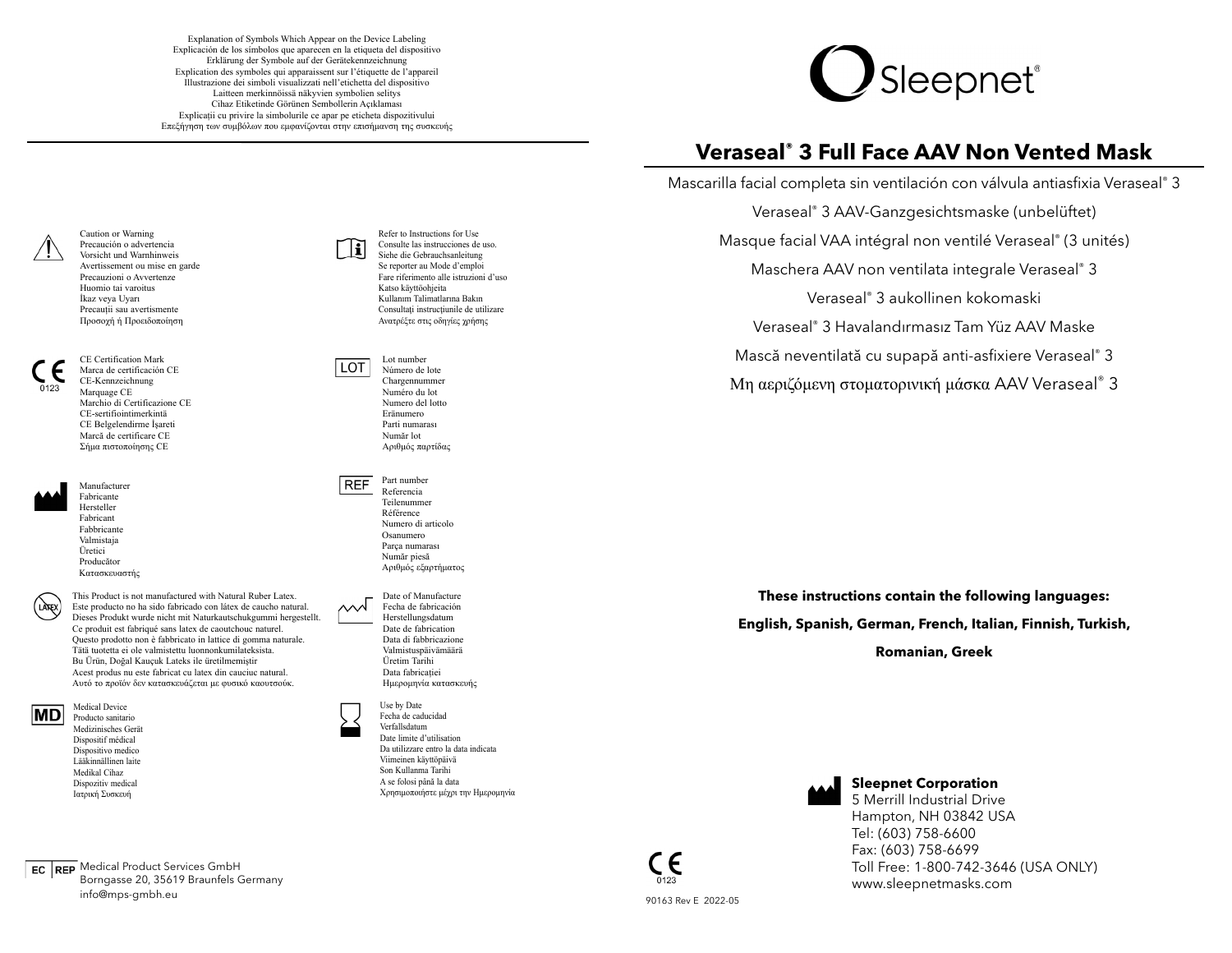Explanation of Symbols Which Appear on the Device Labeling Explicación de los símbolos que aparecen en la etiqueta del dispositivo Erklärung der Symbole auf der Gerätekennzeichnung Explication des symboles qui apparaissent sur l'étiquette de l'appareil Illustrazione dei simboli visualizzati nell'etichetta del dispositivo Laitteen merkinnöissä näkyvien symbolien selitys Cihaz Etiketinde Görünen Sembollerin Açıklaması Explicații cu privire la simbolurile ce apar pe eticheta dispozitivului Επεξήγηση των συμβόλων που εμφανίζονται στην επισήμανση της συσκευής



# **Veraseal® 3 Full Face AAV Non Vented Mask**

Mascarilla facial completa sin ventilación con válvula antiasfixia Veraseal® 3 Veraseal® 3 AAV-Ganzgesichtsmaske (unbelüftet)

Masque facial VAA intégral non ventilé Veraseal® (3 unités)

Maschera AAV non ventilata integrale Veraseal® 3

Veraseal® 3 aukollinen kokomaski

Veraseal® 3 Havalandırmasız Tam Yüz AAV Maske

Mască neventilată cu supapă anti-asfixiere Veraseal® 3

Μη αεριζόμενη στοματορινική <sup>μ</sup>άσκα AAV Veraseal® 3

**These instructions contain the following languages: English, Spanish, German, French, Italian, Finnish, Turkish, Romanian, Greek**



## **Sleepnet Corporation**

5 Merrill Industrial DriveHampton, NH 03842 USA Tel: (603) 758-6600 Fax: (603) 758-6699 Toll Free: 1-800-742-3646 (USA ONLY) www.sleepnetmasks.com

Caution or Warning Precaución o advertencia Vorsicht und Warnhinweis Avertissement ou mise en garde Precauzioni o AvvertenzeHuomio tai varoitusİkaz veya Uyarı Precauții sau avertismente Προσοχή ή Προειδοποίηση

 Marca de certificación CECE-Kennzeichnung Marquage CE Marchio di Certificazione CECE-sertifiointimerkintäCE Belgelendirme İşareti Marcă de certificare CEΣήμα πιστοποίησης CE

CE Certification Mark



LATEX

Fabricante Hersteller FabricantFabbricanteValmistaja Üretici ProducătorΚατασκευαστής

Manufacturer

This Product is not manufactured with Natural Ruber Latex. Este producto no ha sido fabricado con látex de caucho natural. Dieses Produkt wurde nicht mit Naturkautschukgummi hergestellt. Ce produit est fabriqué sans latex de caoutchouc naturel. Questo prodotto non è fabbricato in lattice di gomma naturale. Tätä tuotetta ei ole valmistettu luonnonkumilateksista. Bu Ürün, Doğal Kauçuk Lateks ile üretilmemiştir Acest produs nu este fabricat cu latex din cauciuc natural. Αυτό το προϊόν δεν κατασκευάζεται με φυσικό καουτσούκ.

**IMD** 

Medical Device Producto sanitario Medizinisches Gerät Dispositif médical Dispositivo medico Lääkinnällinen laiteMedikal Cihaz Dispozitiv medical Ιατρική Συσκευή

Medical Product Services GmbH Borngasse 20, 35619 Braunfels Germany info@mps-gmbh.eu

Refer to Instructions for Use Consulte las instrucciones de uso.۱i۱ Siehe die Gebrauchsanleitung Se reporter au Mode d'emploi Fare riferimento alle istruzioni d'usoKatso käyttöohjeita Kullanım Talimatlarına Bakın Consultaţi instrucţiunile de utilizare Ανατρέξτε στις οδηγίες χρήσης

> Lot number Número de lote Chargennummer Numéro du lot Numero del lottoEränumero Parti numarasıNumăr lotΑριθμός παρτίδας

LOT

**REF** 

ᄉᄉᄉ

Part numberReferencia TeilenummerRéférence Numero di articoloOsanumero Parça numarası Număr piesă Αριθμός εξαρτήματος

Date of Manufacture Fecha de fabricaciónHerstellungsdatum Date de fabrication Data di fabbricazione Valmistuspäivämäärä Üretim Tarihi Data fabricației Ημερομηνία κατασκευής

Use by Date Fecha de caducidadVerfallsdatum Date limite d'utilisation Da utilizzare entro la data indicataViimeinen käyttöpäivä Son Kullanma Tarihi A se folosi până la data Χρησιμοποιήστε μέχρι την Ημερομηνία

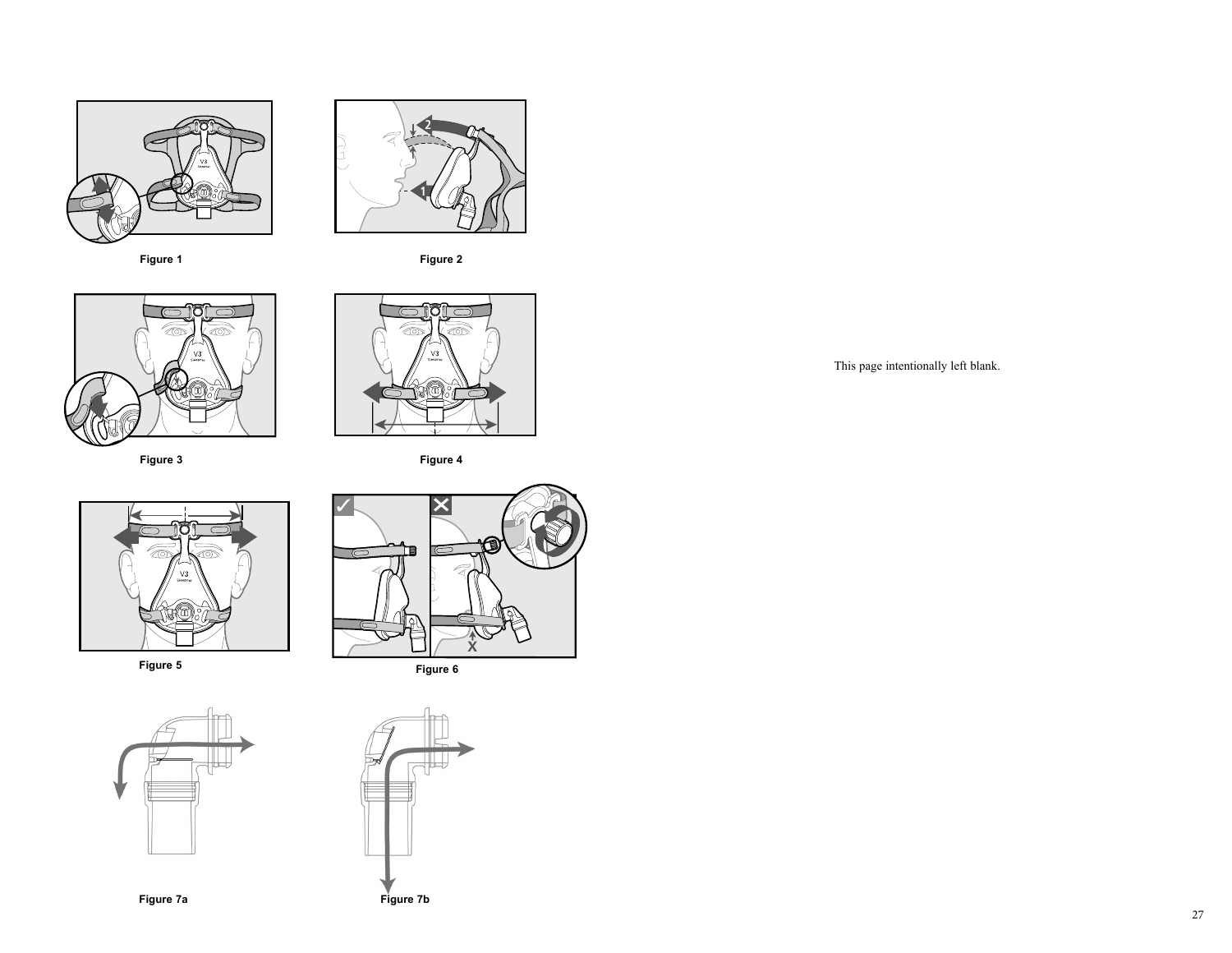





**Figure 3**



**Figure 4**









This page intentionally left blank.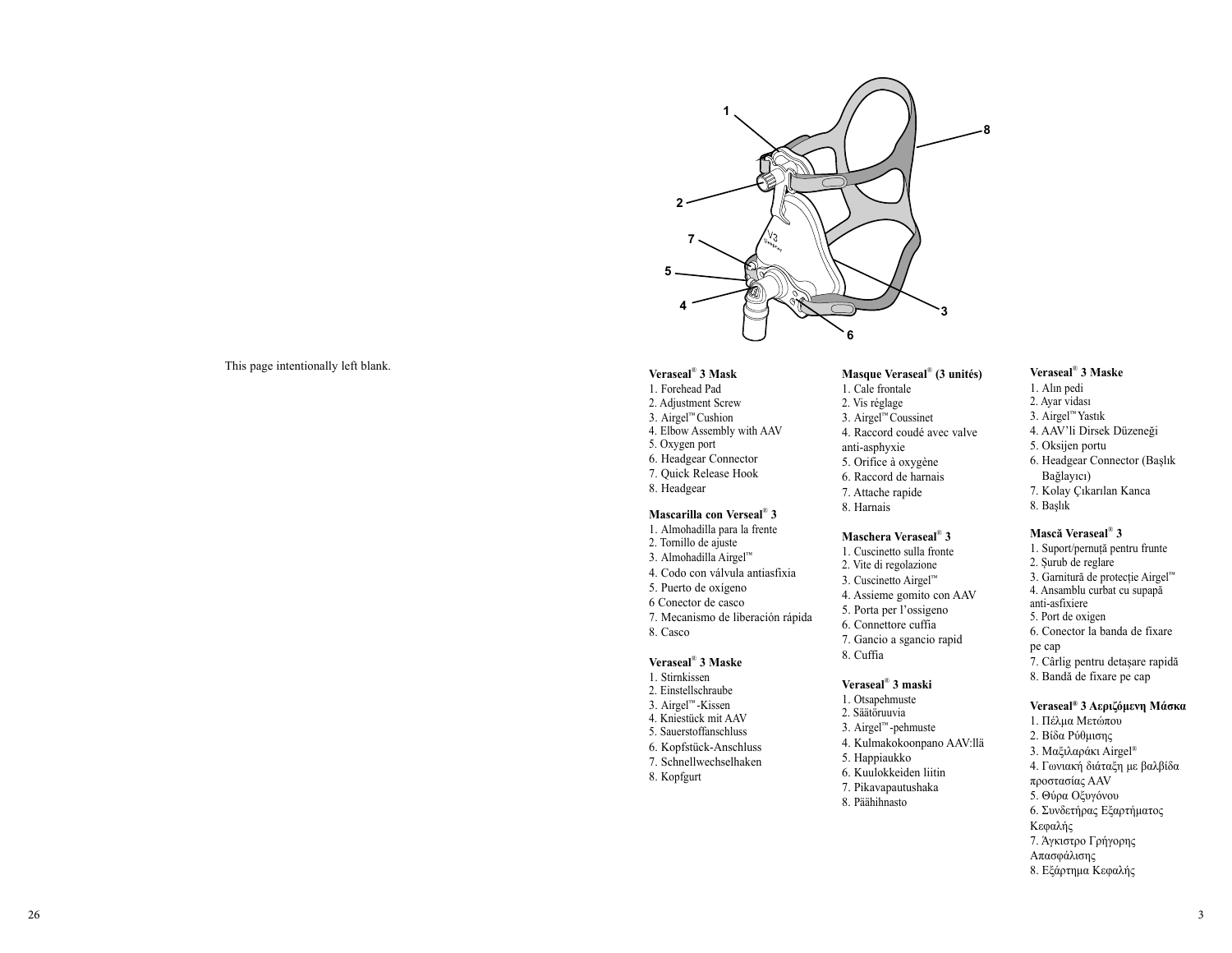

## This page intentionally left blank.

#### **Veraseal**® **3 Mask**

1. Forehead Pad 2. Adjustment Screw 3. Airgel™ Cushion 4. Elbow Assembly with AAV 5. Oxygen port 6. Headgear Connector 7. Quick Release Hook 8. Headgear

#### **Mascarilla con Verseal**® **3**

1. Almohadilla para la frente 2. Tornillo de ajuste 3. Almohadilla Airgel™ 4. Codo con válvula antiasfixia 5. Puerto de oxígeno 6 Conector de casco7. Mecanismo de liberación rápida 8. Casco

#### **Veraseal**® **3 Maske**

- 1. Stirnkissen 2. Einstellschraube 3. Airgel™ -Kissen 4. Kniestück mit AAV 5. Sauerstoffanschluss 6. Kopfstück-Anschluss 7. Schnellwechselhaken
	-
	-
- 8. Kopfgurt

#### **Masque Veraseal**® **(3 unités)**

- 1. Cale frontale
- 2. Vis réglage
- 3. Airgel™ Coussinet
- 4. Raccord coudé avec valve
- anti-asphyxie
- 5. Orifice à oxygène
- 6. Raccord de harnais
- 7. Attache rapide
- 8. Harnais

#### **Maschera Veraseal**® **3**

- 1. Cuscinetto sulla fronte
- 2. Vite di regolazione
- 3. Cuscinetto Airgel™
- 4. Assieme gomito con AAV
- 5. Porta per l'ossigeno
- 6. Connettore cuffia
- 
- 7. Gancio a sgancio rapid 8. Cuffia

#### **Veraseal**® **3 maski**

- 1. Otsapehmuste
- 2. Säätöruuvia
- 3. Airgel™ -pehmuste 4. Kulmakokoonpano AAV:llä
- 5. Happiaukko
- 6. Kuulokkeiden liitin
- 7. Pikavapautushaka
- 8. Päähihnasto

# 1. Alın pedi

- 2. Ayar vidası
- 3. Airgel™ Yastık

**Veraseal**® **3 Maske**

- 4. AAV'li Dirsek Düzeneği
- 5. Oksijen portu
- 6. Headgear Connector (Başlık Bağlayıcı)
- 7. Kolay Çıkarılan Kanca
- 8. Başlık

#### **Mască Veraseal**® **3**

1. Suport/pernuță pentru frunte 2. Șurub de reglare 3. Garnitură de protecție Airgel™ 4. Ansamblu curbat cu supapă anti-asfixiere 5. Port de oxigen 6. Conector la banda de fixare pe cap 7. Cârlig pentru detașare rapidă 8. Bandă de fixare pe cap

#### **Veraseal® 3 Αεριζόμενη Μάσκα**

1. Πέλμα Μετώπου 2. Βίδα Ρύθμισης 3. Μαξιλαράκι Airgel® 4. Γωνιακή διάταξη με βαλβίδα προστασίας AAV 5. Θύρα Οξυγόνου 6. Συνδετήρας Εξαρτήματος Κεφαλής 7. Άγκιστρο Γρήγορης Απασφάλισης 8. Εξάρτημα Κεφαλής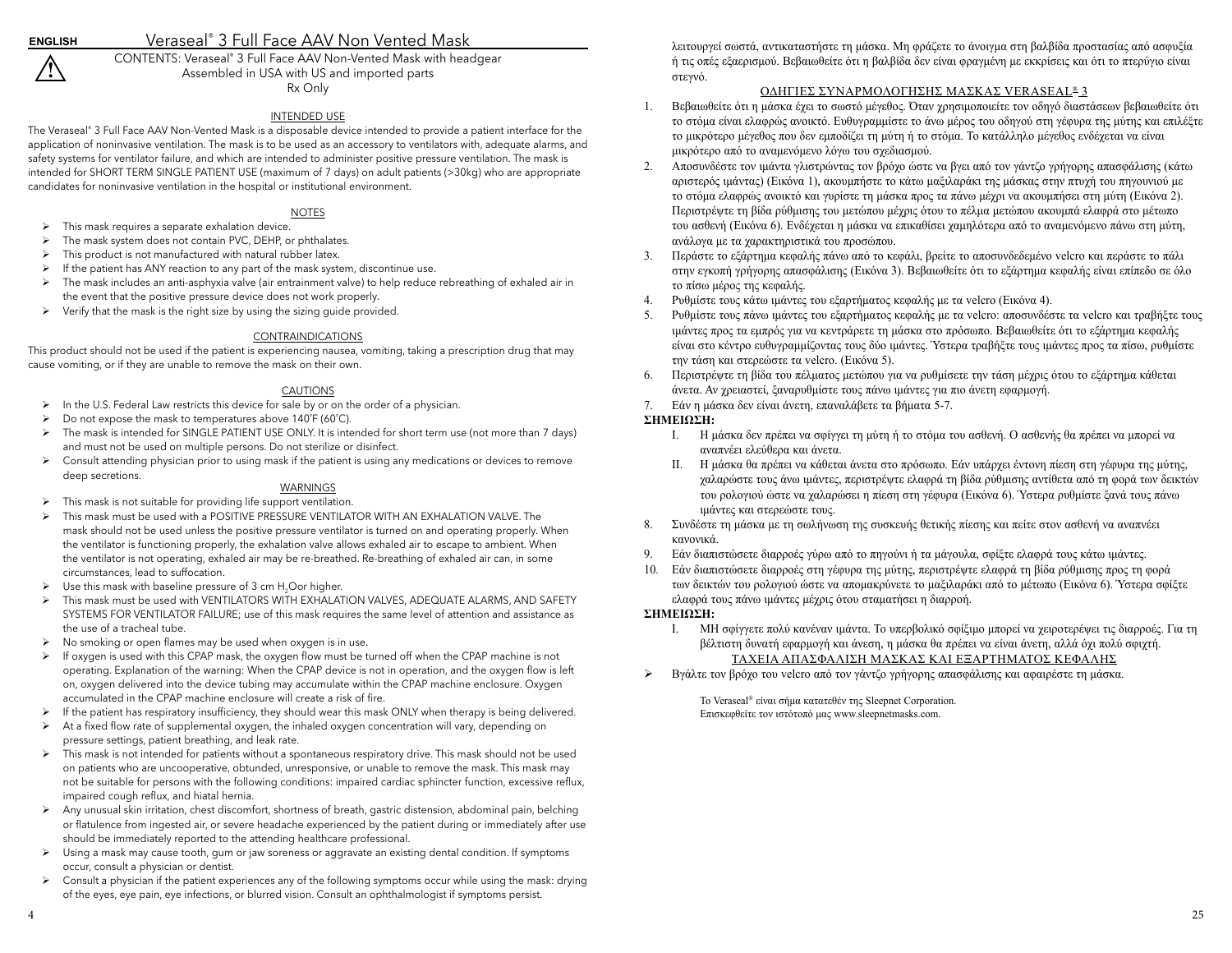# Veraseal® 3 Full Face AAV Non Vented Mask

CONTENTS: Veraseal® 3 Full Face AAV Non-Vented Mask with headgear Assembled in USA with US and imported parts Rx Only

## INTENDED USE

The Veraseal® 3 Full Face AAV Non-Vented Mask is a disposable device intended to provide a patient interface for the application of noninvasive ventilation. The mask is to be used as an accessory to ventilators with, adequate alarms, and safety systems for ventilator failure, and which are intended to administer positive pressure ventilation. The mask is intended for SHORT TERM SINGLE PATIENT USE (maximum of 7 days) on adult patients (>30kg) who are appropriate candidates for noninvasive ventilation in the hospital or institutional environment.

#### NOTES

- $\triangleright$  This mask requires a separate exhalation device.
- ¾ The mask system does not contain PVC, DEHP, or phthalates.
- $\triangleright$  This product is not manufactured with natural rubber latex.
- ¾ If the patient has ANY reaction to any part of the mask system, discontinue use.
- ¾ The mask includes an anti-asphyxia valve (air entrainment valve) to help reduce rebreathing of exhaled air in the event that the positive pressure device does not work properly.
- $\triangleright$  Verify that the mask is the right size by using the sizing guide provided.

#### CONTRAINDICATIONS

This product should not be used if the patient is experiencing nausea, vomiting, taking a prescription drug that may cause vomiting, or if they are unable to remove the mask on their own.

#### CAUTIONS

- ¾ In the U.S. Federal Law restricts this device for sale by or on the order of a physician.
- ¾ Do not expose the mask to temperatures above 140˚F (60˚C).
- ¾ The mask is intended for SINGLE PATIENT USE ONLY. It is intended for short term use (not more than 7 days) and must not be used on multiple persons. Do not sterilize or disinfect.
- ¾ Consult attending physician prior to using mask if the patient is using any medications or devices to remove deep secretions.

## WARNINGS

- ¾ This mask is not suitable for providing life support ventilation.
- ¾ This mask must be used with a POSITIVE PRESSURE VENTILATOR WITH AN EXHALATION VALVE. The mask should not be used unless the positive pressure ventilator is turned on and operating properly. When the ventilator is functioning properly, the exhalation valve allows exhaled air to escape to ambient. When the ventilator is not operating, exhaled air may be re-breathed. Re-breathing of exhaled air can, in some circumstances, lead to suffocation.
- $\triangleright$  Use this mask with baseline pressure of 3 cm H<sub>2</sub>Oor higher.
- ¾ This mask must be used with VENTILATORS WITH EXHALATION VALVES, ADEQUATE ALARMS, AND SAFETY SYSTEMS FOR VENTILATOR FAILURE; use of this mask requires the same level of attention and assistance as the use of a tracheal tube.
- ¾ No smoking or open flames may be used when oxygen is in use.
- ¾ If oxygen is used with this CPAP mask, the oxygen flow must be turned off when the CPAP machine is not operating. Explanation of the warning: When the CPAP device is not in operation, and the oxygen flow is left on, oxygen delivered into the device tubing may accumulate within the CPAP machine enclosure. Oxygen accumulated in the CPAP machine enclosure will create a risk of fire.
- ¾ If the patient has respiratory insufficiency, they should wear this mask ONLY when therapy is being delivered.
- ¾ At a fixed flow rate of supplemental oxygen, the inhaled oxygen concentration will vary, depending on pressure settings, patient breathing, and leak rate.
- ¾ This mask is not intended for patients without a spontaneous respiratory drive. This mask should not be used on patients who are uncooperative, obtunded, unresponsive, or unable to remove the mask. This mask may not be suitable for persons with the following conditions: impaired cardiac sphincter function, excessive reflux, impaired cough reflux, and hiatal hernia.
- ¾ Any unusual skin irritation, chest discomfort, shortness of breath, gastric distension, abdominal pain, belching or flatulence from ingested air, or severe headache experienced by the patient during or immediately after use should be immediately reported to the attending healthcare professional.
- ¾ Using a mask may cause tooth, gum or jaw soreness or aggravate an existing dental condition. If symptoms occur, consult a physician or dentist.
- $\triangleright$  Consult a physician if the patient experiences any of the following symptoms occur while using the mask: drying of the eyes, eye pain, eye infections, or blurred vision. Consult an ophthalmologist if symptoms persist.

λειτουργεί σωστά, αντικαταστήστε τη μάσκα. Μη φράζετε το άνοιγμα στη βαλβίδα προστασίας από ασφυξία ή τις οπές εξαερισμού. Βεβαιωθείτε ότι η βαλβίδα δεν είναι φραγμένη με εκκρίσεις και ότι το πτερύγιο είναι στεγνό.

## ΟΔΗΓΙΕΣ ΣΥΝΑΡΜΟΛΟΓΗΣΗΣ ΜΑΣΚΑΣ VERASEAL® 3

- 1. Βεβαιωθείτε ότι η μάσκα έχει το σωστό μέγεθος. Όταν χρησιμοποιείτε τον οδηγό διαστάσεων βεβαιωθείτε ότι το στόμα είναι ελαφρώς ανοικτό. Ευθυγραμμίστε το άνω μέρος του οδηγού στη γέφυρα της μύτης και επιλέξτε το μικρότερο μέγεθος που δεν εμποδίζει τη μύτη ή το στόμα. Το κατάλληλο μέγεθος ενδέχεται να είναι μικρότερο από το αναμενόμενο λόγω του σχεδιασμού.
- 2. Αποσυνδέστε τον ιμάντα γλιστρώντας τον βρόχο ώστε να βγει από τον γάντζο γρήγορης απασφάλισης (κάτω αριστερός ιμάντας) (Εικόνα 1), ακουμπήστε το κάτω μαξιλαράκι της μάσκας στην πτυχή του πηγουνιού με το στόμα ελαφρώς ανοικτό και γυρίστε τη μάσκα προς τα πάνω μέχρι να ακουμπήσει στη μύτη (Εικόνα 2). Περιστρέψτε τη βίδα ρύθμισης του μετώπου μέχρις ότου το πέλμα μετώπου ακουμπά ελαφρά στο μέτωπο του ασθενή (Εικόνα 6). Ενδέχεται η μάσκα να επικαθίσει χαμηλότερα από το αναμενόμενο πάνω στη μύτη, ανάλογα με τα χαρακτηριστικά του προσώπου.
- 3. Περάστε το εξάρτημα κεφαλής πάνω από το κεφάλι, βρείτε το αποσυνδεδεμένο velcro και περάστε το πάλι στην εγκοπή γρήγορης απασφάλισης (Εικόνα 3). Βεβαιωθείτε ότι το εξάρτημα κεφαλής είναι επίπεδο σε όλο το πίσω μέρος της κεφαλής.
- 4. Ρυθμίστε τους κάτω ιμάντες του εξαρτήματος κεφαλής με τα velcro (Εικόνα 4).
- 5. Ρυθμίστε τους πάνω ιμάντες του εξαρτήματος κεφαλής με τα velcro: αποσυνδέστε τα velcro και τραβήξτε τους ιμάντες προς τα εμπρός για να κεντράρετε τη μάσκα στο πρόσωπο. Βεβαιωθείτε ότι το εξάρτημα κεφαλής είναι στο κέντρο ευθυγραμμίζοντας τους δύο ιμάντες. Ύστερα τραβήξτε τους ιμάντες προς τα πίσω, ρυθμίστε την τάση και στερεώστε τα velcro. (Εικόνα 5).
- 6. Περιστρέψτε τη βίδα του πέλματος μετώπου για να ρυθμίσετε την τάση μέχρις ότου το εξάρτημα κάθεται άνετα. Αν χρειαστεί, ξαναρυθμίστε τους πάνω ιμάντες για πιο άνετη εφαρμογή.
- 7. Εάν η μάσκα δεν είναι άνετη, επαναλάβετε τα βήματα 5-7.

## **ΣΗΜΕΙΩΣΗ:**

- I. Η μάσκα δεν πρέπει να σφίγγει τη μύτη ή το στόμα του ασθενή. Ο ασθενής θα πρέπει να μπορεί να αναπνέει ελεύθερα και άνετα.
- II. Η μάσκα θα πρέπει να κάθεται άνετα στο πρόσωπο. Εάν υπάρχει έντονη πίεση στη γέφυρα της μύτης, χαλαρώστε τους άνω ιμάντες, περιστρέψτε ελαφρά τη βίδα ρύθμισης αντίθετα από τη φορά των δεικτών του ρολογιού ώστε να χαλαρώσει η πίεση στη γέφυρα (Εικόνα 6). Ύστερα ρυθμίστε ξανά τους πάνω ιμάντες και στερεώστε τους.
- 8. Συνδέστε τη μάσκα με τη σωλήνωση της συσκευής θετικής πίεσης και πείτε στον ασθενή να αναπνέει κανονικά.
- 9. Εάν διαπιστώσετε διαρροές γύρω από το πηγούνι ή τα μάγουλα, σφίξτε ελαφρά τους κάτω ιμάντες.
- 10. Εάν διαπιστώσετε διαρροές στη γέφυρα της μύτης, περιστρέψτε ελαφρά τη βίδα ρύθμισης προς τη φορά των δεικτών του ρολογιού ώστε να απομακρύνετε το μαξιλαράκι από το μέτωπο (Εικόνα 6). Ύστερα σφίξτε ελαφρά τους πάνω ιμάντες μέχρις ότου σταματήσει η διαρροή.

#### **ΣΗΜΕΙΩΣΗ:**

- I. ΜΗ σφίγγετε πολύ κανέναν ιμάντα. Το υπερβολικό σφίξιμο μπορεί να χειροτερέψει τις διαρροές. Για τη βέλτιστη δυνατή εφαρμογή και άνεση, η μάσκα θα πρέπει να είναι άνετη, αλλά όχι πολύ σφιχτή. ΤΑΧΕΙΑ ΑΠΑΣΦΑΛΙΣΗ ΜΑΣΚΑΣ ΚΑΙ ΕΞΑΡΤΗΜΑΤΟΣ ΚΕΦΑΛΗΣ
- ¾Βγάλτε τον βρόχο του velcro από τον γάντζο γρήγορης απασφάλισης και αφαιρέστε τη μάσκα.

Το Veraseal® είναι σήμα κατατεθέν της Sleepnet Corporation. Επισκεφθείτε τον ιστότοπό μας www.sleepnetmasks.com.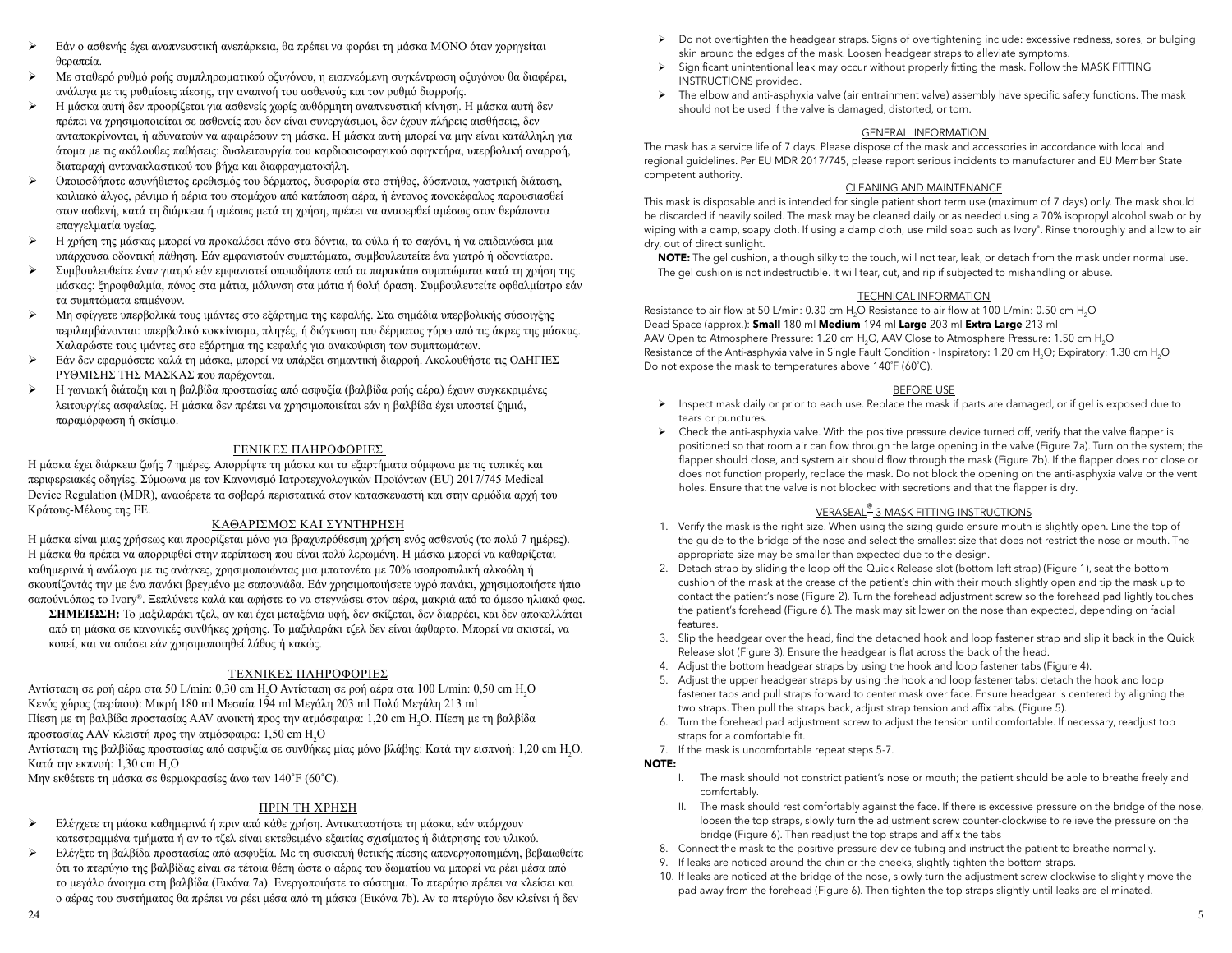- ¾ Εάν <sup>ο</sup> ασθενής έχει αναπνευστική ανεπάρκεια, θα πρέπει να φοράει τη μάσκα ΜΟΝΟ όταν χορηγείται θεραπεία.
- $\blacktriangleright$  Με σταθερό ρυθμό ροής συμπληρωματικού οξυγόνου, η εισπνεόμενη συγκέντρωση οξυγόνου θα διαφέρει, ανάλογα με τις ρυθμίσεις πίεσης, την αναπνοή του ασθενούς και τον ρυθμό διαρροής.
- $\blacktriangleright$ Η μάσκα αυτή δεν προορίζεται για ασθενείς χωρίς αυθόρμητη αναπνευστική κίνηση. Η μάσκα αυτή δεν πρέπει να χρησιμοποιείται σε ασθενείς που δεν είναι συνεργάσιμοι, δεν έχουν πλήρεις αισθήσεις, δεν ανταποκρίνονται, ή αδυνατούν να αφαιρέσουν τη μάσκα. Η μάσκα αυτή μπορεί να μην είναι κατάλληλη για άτομα με τις ακόλουθες παθήσεις: δυσλειτουργία του καρδιοοισοφαγικού σφιγκτήρα, υπερβολική αναρροή, διαταραχή αντανακλαστικού του βήχα και διαφραγματοκήλη.
- $\blacktriangleright$  Οποιοσδήποτε ασυνήθιστος ερεθισμός του δέρματος, δυσφορία στο στήθος, δύσπνοια, γαστρική διάταση, κοιλιακό άλγος, ρέψιμο ή αέρια του στομάχου από κατάποση αέρα, ή έντονος πονοκέφαλος παρουσιασθεί στον ασθενή, κατά τη διάρκεια ή αμέσως μετά τη χρήση, πρέπει να αναφερθεί αμέσως στον θεράποντα επαγγελματία υγείας.
- $\blacktriangleright$ Η χρήση της μάσκας μπορεί να προκαλέσει πόνο στα δόντια, τα ούλα ή το σαγόνι, ή να επιδεινώσει μια υπάρχουσα οδοντική πάθηση. Εάν εμφανιστούν συμπτώματα, συμβουλευτείτε ένα γιατρό ή οδοντίατρο.
- $\blacktriangleright$  Συμβουλευθείτε έναν γιατρό εάν εμφανιστεί οποιοδήποτε από τα παρακάτω συμπτώματα κατά τη χρήση της μάσκας: ξηροφθαλμία, πόνος στα μάτια, μόλυνση στα μάτια ή θολή όραση. Συμβουλευτείτε οφθαλμίατρο εάν τα συμπτώματα επιμένουν.
- $\blacktriangleright$  Μη σφίγγετε υπερβολικά τους ιμάντες στο εξάρτημα της κεφαλής. Στα σημάδια υπερβολικής σύσφιγξης περιλαμβάνονται: υπερβολικό κοκκίνισμα, πληγές, ή διόγκωση του δέρματος γύρω από τις άκρες της μάσκας. Χαλαρώστε τους ιμάντες στο εξάρτημα της κεφαλής για ανακούφιση των συμπτωμάτων.
- $\blacktriangleright$  Εάν δεν εφαρμόσετε καλά τη μάσκα, μπορεί να υπάρξει σημαντική διαρροή. Ακολουθήστε τις ΟΔΗΓΙΕΣ ΡΥΘΜΙΣΗΣ ΤΗΣ ΜΑΣΚΑΣ που παρέχονται.
- $\blacktriangleright$ Η γωνιακή διάταξη και η βαλβίδα προστασίας από ασφυξία (βαλβίδα ροής αέρα) έχουν συγκεκριμένες λειτουργίες ασφαλείας. Η μάσκα δεν πρέπει να χρησιμοποιείται εάν η βαλβίδα έχει υποστεί ζημιά, παραμόρφωση ή σκίσιμο.

## ΓΕΝΙΚΕΣ ΠΛΗΡΟΦΟΡΙΕΣ

Η μάσκα έχει διάρκεια ζωής 7 ημέρες. Απορρίψτε τη μάσκα και τα εξαρτήματα σύμφωνα με τις τοπικές και περιφερειακές οδηγίες. Σύμφωνα με τον Κανονισμό Ιατροτεχνολογικών Προϊόντων (EU) 2017/745 Medical Device Regulation (MDR), αναφέρετε τα σοβαρά περιστατικά στον κατασκευαστή και στην αρμόδια αρχή του Κράτους-Μέλους της ΕΕ.

#### ΚΑΘΑΡΙΣΜΟΣ ΚΑΙ ΣΥΝΤΗΡΗΣΗ

 Η μάσκα είναι μιας χρήσεως και προορίζεται μόνο για βραχυπρόθεσμη χρήση ενός ασθενούς (το πολύ 7 ημέρες). Η μάσκα θα πρέπει να απορριφθεί στην περίπτωση που είναι πολύ λερωμένη. Η μάσκα μπορεί να καθαρίζεται καθημερινά ή ανάλογα με τις ανάγκες, χρησιμοποιώντας μια μπατονέτα με 70% ισοπροπυλική αλκοόλη ή σκουπίζοντάς την με ένα πανάκι βρεγμένο με σαπουνάδα. Εάν χρησιμοποιήσετε υγρό πανάκι, χρησιμοποιήστε ήπιο σαπούνι.όπως το Ivory®. Ξεπλύνετε καλά και αφήστε το να στεγνώσει στον αέρα, μακριά από το άμεσο ηλιακό φως.

**ΣΗΜΕΙΩΣΗ:** Το μαξιλαράκι τζελ, αν και έχει μεταξένια υφή, δεν σκίζεται, δεν διαρρέει, και δεν αποκολλάται από τη μάσκα σε κανονικές συνθήκες χρήσης. Το μαξιλαράκι τζελ δεν είναι άφθαρτο. Μπορεί να σκιστεί, να κοπεί, και να σπάσει εάν χρησιμοποιηθεί λάθος ή κακώς.

## ΤΕΧΝΙΚΕΣ ΠΛΗΡΟΦΟΡΙΕΣ

Αντίσταση σε ροή αέρα στα 50 L/min: 0,30 cm H<sub>2</sub>O Αντίσταση σε ροή αέρα στα 100 L/min: 0,50 cm H<sub>2</sub>O Κενός χώρος (περίπου): Μικρή 180 ml Μεσαία 194 ml Μεγάλη 203 ml Πολύ Μεγάλη 213 ml Πίεση με τη βαλβίδα προστασίας AAV ανοικτή προς την ατμόσφαιρα: 1,20 cm H2O. Πίεση με τη βαλβίδα προστασίας AAV κλειστή προς την ατμόσφαιρα: 1,50 cm H $_{\rm 2}$ O

 Αντίσταση της βαλβίδας προστασίας από ασφυξία σε συνθήκες <sup>μ</sup>ίας <sup>μ</sup>όνο βλάβης: Κατά την εισπνοή: 1,20 cm H2O. Κατά την εκπνοή: 1,30 cm H<sub>2</sub>O

Μην εκθέτετε τη μάσκα σε θερμοκρασίες άνω των 140˚F (60˚C).

## ΠΡΙΝ ΤΗ ΧΡΗΣΗ

- $\blacktriangleright$  Ελέγχετε τη μάσκα καθημερινά ή πριν από κάθε χρήση. Αντικαταστήστε τη μάσκα, εάν υπάρχουν κατεστραμμένα τμήματα ή αν το τζελ είναι εκτεθειμένο εξαιτίας σχισίματος ή διάτρησης του υλικού.
- $\blacktriangleright$  Ελέγξτε τη βαλβίδα προστασίας από ασφυξία. Με τη συσκευή θετικής πίεσης απενεργοποιημένη, βεβαιωθείτε ότι το πτερύγιο της βαλβίδας είναι σε τέτοια θέση ώστε <sup>ο</sup> αέρας του δωματίου να μπορεί να ρέει μέσα από το μεγάλο άνοιγμα στη βαλβίδα (Εικόνα 7a). Ενεργοποιήστε το σύστημα. Το πτερύγιο πρέπει να κλείσει και ο αέρας του συστήματος θα πρέπει να ρέει μέσα από τη μάσκα (Εικόνα 7b). Αν το πτερύγιο δεν κλείνει ή δεν
- ¾ Do not overtighten the headgear straps. Signs of overtightening include: excessive redness, sores, or bulging skin around the edges of the mask. Loosen headgear straps to alleviate symptoms.
- $\geq$  Significant unintentional leak may occur without properly fitting the mask. Follow the MASK FITTING INSTRUCTIONS provided.
- ¾ The elbow and anti-asphyxia valve (air entrainment valve) assembly have specific safety functions. The mask should not be used if the valve is damaged, distorted, or torn.

## GENERAL INFORMATION

The mask has a service life of 7 days. Please dispose of the mask and accessories in accordance with local and regional guidelines. Per EU MDR 2017/745, please report serious incidents to manufacturer and EU Member State competent authority.

#### CLEANING AND MAINTENANCE

This mask is disposable and is intended for single patient short term use (maximum of 7 days) only. The mask should be discarded if heavily soiled. The mask may be cleaned daily or as needed using a 70% isopropyl alcohol swab or by wiping with a damp, soapy cloth. If using a damp cloth, use mild soap such as Ivory<sup>®</sup>. Rinse thoroughly and allow to air dry, out of direct sunlight.

**NOTE:** The gel cushion, although silky to the touch, will not tear, leak, or detach from the mask under normal use. The gel cushion is not indestructible. It will tear, cut, and rip if subjected to mishandling or abuse.

#### TECHNICAL INFORMATION

Resistance to air flow at 50 L/min: 0.30 cm H<sub>2</sub>O Resistance to air flow at 100 L/min: 0.50 cm H<sub>2</sub>O Dead Space (approx.): **Small** 180 ml **Medium** 194 ml **Large** 203 ml **Extra Large** 213 ml AAV Open to Atmosphere Pressure: 1.20 cm H<sub>2</sub>O, AAV Close to Atmosphere Pressure: 1.50 cm H<sub>2</sub>O Resistance of the Anti-asphyxia valve in Single Fault Condition - Inspiratory: 1.20 cm H $_2$ O; Expiratory: 1.30 cm H $_2$ O Do not expose the mask to temperatures above 140˚F (60˚C).

#### BEFORE USE

- ¾ Inspect mask daily or prior to each use. Replace the mask if parts are damaged, or if gel is exposed due to tears or punctures.
- $\triangleright$  Check the anti-asphyxia valve. With the positive pressure device turned off, verify that the valve flapper is positioned so that room air can flow through the large opening in the valve (Figure 7a). Turn on the system; the flapper should close, and system air should flow through the mask (Figure 7b). If the flapper does not close or does not function properly, replace the mask. Do not block the opening on the anti-asphyxia valve or the vent holes. Ensure that the valve is not blocked with secretions and that the flapper is dry.

# VERASEAL® 3 MASK FITTING INSTRUCTIONS

- 1. Verify the mask is the right size. When using the sizing guide ensure mouth is slightly open. Line the top of the guide to the bridge of the nose and select the smallest size that does not restrict the nose or mouth. The appropriate size may be smaller than expected due to the design.
- 2. Detach strap by sliding the loop off the Quick Release slot (bottom left strap) (Figure 1), seat the bottom cushion of the mask at the crease of the patient's chin with their mouth slightly open and tip the mask up to contact the patient's nose (Figure 2). Turn the forehead adjustment screw so the forehead pad lightly touches the patient's forehead (Figure 6). The mask may sit lower on the nose than expected, depending on facial features.
- 3. Slip the headgear over the head, find the detached hook and loop fastener strap and slip it back in the Quick Release slot (Figure 3). Ensure the headgear is flat across the back of the head.
- 4. Adjust the bottom headgear straps by using the hook and loop fastener tabs (Figure 4).
- 5. Adjust the upper headgear straps by using the hook and loop fastener tabs: detach the hook and loop fastener tabs and pull straps forward to center mask over face. Ensure headgear is centered by aligning the two straps. Then pull the straps back, adjust strap tension and affix tabs. (Figure 5).
- 6. Turn the forehead pad adjustment screw to adjust the tension until comfortable. If necessary, readjust top straps for a comfortable fit.
- 7. If the mask is uncomfortable repeat steps 5-7.

#### **NOTE:**

- I. The mask should not constrict patient's nose or mouth; the patient should be able to breathe freely and comfortably.
- II. The mask should rest comfortably against the face. If there is excessive pressure on the bridge of the nose, loosen the top straps, slowly turn the adjustment screw counter-clockwise to relieve the pressure on the bridge (Figure 6). Then readjust the top straps and affix the tabs
- 8. Connect the mask to the positive pressure device tubing and instruct the patient to breathe normally.
- 9. If leaks are noticed around the chin or the cheeks, slightly tighten the bottom straps.
- 10. If leaks are noticed at the bridge of the nose, slowly turn the adjustment screw clockwise to slightly move the pad away from the forehead (Figure 6). Then tighten the top straps slightly until leaks are eliminated.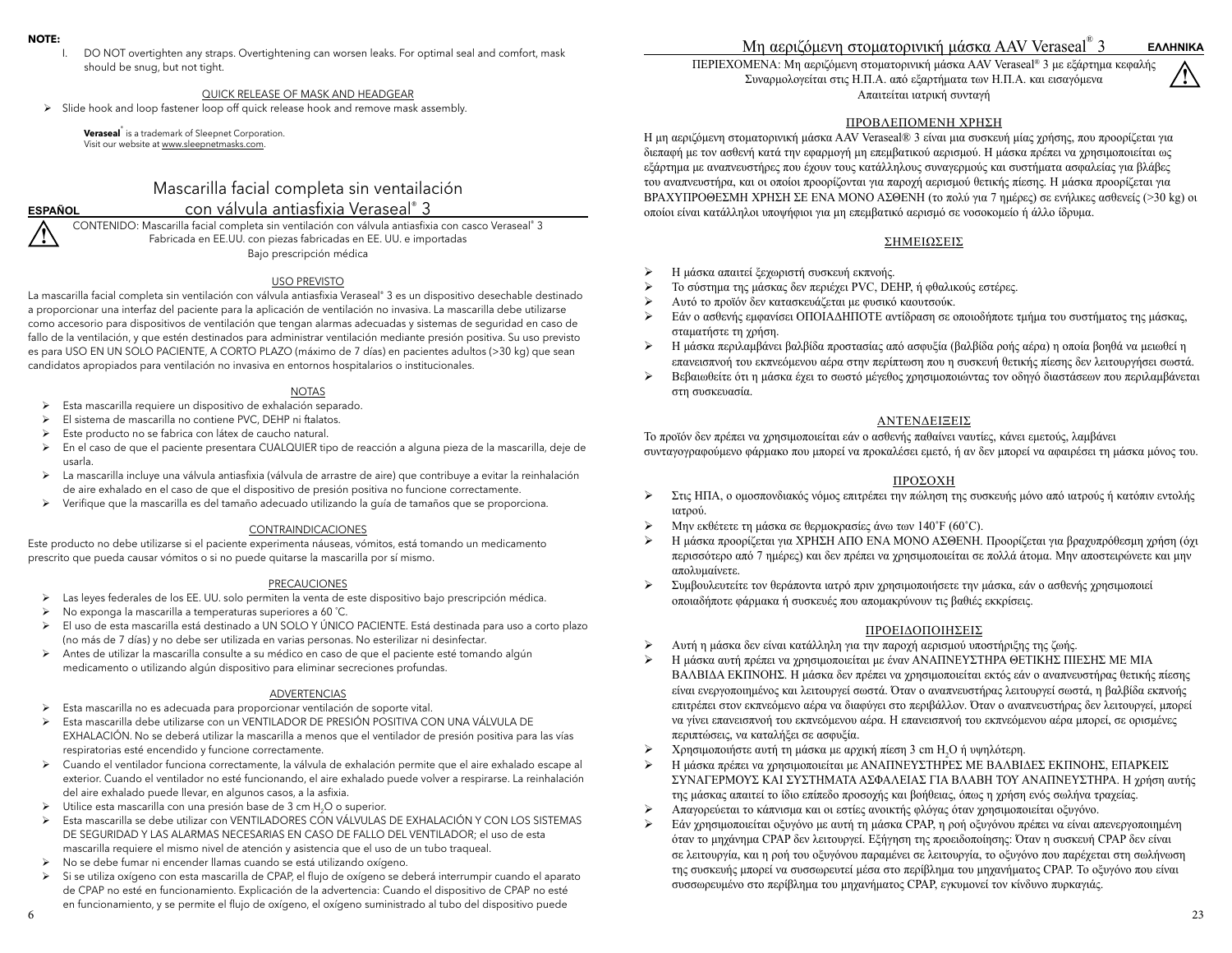#### **NOTE:**

DO NOT overtighten any straps. Overtightening can worsen leaks. For optimal seal and comfort, mask should be snug, but not tight.

## QUICK RELEASE OF MASK AND HEADGEAR

¾ Slide hook and loop fastener loop off quick release hook and remove mask assembly.

**Veraseal**® is a trademark of Sleepnet Corporation. Visit our website at www.sleepnetmasks.com.

## Mascarilla facial completa sin ventailación con válvula antiasfixia Veraseal® 3

**!ESPAÑOL**

 CONTENIDO: Mascarilla facial completa sin ventilación con válvula antiasfixia con casco Veraseal® 3 Fabricada en EE.UU. con piezas fabricadas en EE. UU. e importadas Bajo prescripción médica

#### USO PREVISTO

La mascarilla facial completa sin ventilación con válvula antiasfixia Veraseal® 3 es un dispositivo desechable destinado a proporcionar una interfaz del paciente para la aplicación de ventilación no invasiva. La mascarilla debe utilizarse como accesorio para dispositivos de ventilación que tengan alarmas adecuadas y sistemas de seguridad en caso de fallo de la ventilación, y que estén destinados para administrar ventilación mediante presión positiva. Su uso previsto es para USO EN UN SOLO PACIENTE, A CORTO PLAZO (máximo de 7 días) en pacientes adultos (>30 kg) que sean candidatos apropiados para ventilación no invasiva en entornos hospitalarios o institucionales.

## NOTAS

- ¾ Esta mascarilla requiere un dispositivo de exhalación separado.
- ¾ El sistema de mascarilla no contiene PVC, DEHP ni ftalatos.
- ¾ Este producto no se fabrica con látex de caucho natural.
- ¾ En el caso de que el paciente presentara CUALQUIER tipo de reacción a alguna pieza de la mascarilla, deje de usarla.
- ¾ La mascarilla incluye una válvula antiasfixia (válvula de arrastre de aire) que contribuye a evitar la reinhalación de aire exhalado en el caso de que el dispositivo de presión positiva no funcione correctamente.
- ¾ Verifique que la mascarilla es del tamaño adecuado utilizando la guía de tamaños que se proporciona.

#### CONTRAINDICACIONES

Este producto no debe utilizarse si el paciente experimenta náuseas, vómitos, está tomando un medicamento prescrito que pueda causar vómitos o si no puede quitarse la mascarilla por sí mismo.

#### PRECAUCIONES

- ¾ Las leyes federales de los EE. UU. solo permiten la venta de este dispositivo bajo prescripción médica.
- ¾ No exponga la mascarilla a temperaturas superiores a 60 ˚C.
- <sup>¾</sup> El uso de esta mascarilla está destinado a UN SOLO Y ÚNICO PACIENTE. Está destinada para uso a corto plazo (no más de 7 días) y no debe ser utilizada en varias personas. No esterilizar ni desinfectar.
- ¾ Antes de utilizar la mascarilla consulte a su médico en caso de que el paciente esté tomando algún medicamento o utilizando algún dispositivo para eliminar secreciones profundas.

### ADVERTENCIAS

- ¾ Esta mascarilla no es adecuada para proporcionar ventilación de soporte vital.
- ¾ Esta mascarilla debe utilizarse con un VENTILADOR DE PRESIÓN POSITIVA CON UNA VÁLVULA DE EXHALACIÓN. No se deberá utilizar la mascarilla a menos que el ventilador de presión positiva para las vías respiratorias esté encendido y funcione correctamente.
- ¾ Cuando el ventilador funciona correctamente, la válvula de exhalación permite que el aire exhalado escape al exterior. Cuando el ventilador no esté funcionando, el aire exhalado puede volver a respirarse. La reinhalación del aire exhalado puede llevar, en algunos casos, a la asfixia.
- → Utilice esta mascarilla con una presión base de 3 cm H<sub>2</sub>O o superior.<br>► Esta mascarilla se debe utilizar con VENTILADORES CON VÁLVULAS
- ¾ Esta mascarilla se debe utilizar con VENTILADORES CON VÁLVULAS DE EXHALACIÓN Y CON LOS SISTEMAS DE SEGURIDAD Y LAS ALARMAS NECESARIAS EN CASO DE FALLO DEL VENTILADOR; el uso de esta mascarilla requiere el mismo nivel de atención y asistencia que el uso de un tubo traqueal.
- ¾ No se debe fumar ni encender llamas cuando se está utilizando oxígeno.
- ¾ Si se utiliza oxígeno con esta mascarilla de CPAP, el flujo de oxígeno se deberá interrumpir cuando el aparato de CPAP no esté en funcionamiento. Explicación de la advertencia: Cuando el dispositivo de CPAP no esté en funcionamiento, y se permite el flujo de oxígeno, el oxígeno suministrado al tubo del dispositivo puede

# Μη αεριζόμενη στοματορινική <sup>μ</sup>άσκα AAV Veraseal® 3

ΠΕΡΙΕΧΟΜΕΝΑ: Μη αεριζόμενη στοματορινική μάσκα AAV Veraseal® 3 με εξάρτημα κεφαλής Συναρμολογείται στις Η.Π.Α. από εξαρτήματα των Η.Π.Α. και εισαγόμενα Απαιτείται ιατρική συνταγή

#### ΠΡΟΒΛΕΠΟΜΕΝΗ ΧΡΗΣΗ

Η μη αεριζόμενη στοματορινική μάσκα AAV Veraseal® 3 είναι μια συσκευή μίας χρήσης, που προορίζεται για διεπαφή με τον ασθενή κατά την εφαρμογή μη επεμβατικού αερισμού. Η μάσκα πρέπει να χρησιμοποιείται ως εξάρτημα με αναπνευστήρες που έχουν τους κατάλληλους συναγερμούς και συστήματα ασφαλείας για βλάβες του αναπνευστήρα, και οι οποίοι προορίζονται για παροχή αερισμού θετικής πίεσης. Η μάσκα προορίζεται για ΒΡΑΧΥΠΡΟΘΕΣΜΗ ΧΡΗΣΗ ΣΕ ΕΝΑ ΜΟΝΟ ΑΣΘΕΝΗ (το πολύ για 7 ημέρες) σε ενήλικες ασθενείς (>30 kg) οι οποίοι είναι κατάλληλοι υποψήφιοι για μη επεμβατικό αερισμό σε νοσοκομείο ή άλλο ίδρυμα.

#### ΣΗΜΕΙΩΣΕΙΣ

- $\blacktriangleright$ Η μάσκα απαιτεί ξεχωριστή συσκευή εκπνοής.
- $\blacktriangleright$ Το σύστημα της μάσκας δεν περιέχει PVC, DEHP, ή φθαλικούς εστέρες.
- ¾Αυτό το προϊόν δεν κατασκευάζεται με φυσικό καουτσούκ.
- ¾ Εάν <sup>ο</sup> ασθενής εμφανίσει ΟΠΟΙΑΔΗΠΟΤΕ αντίδραση σε οποιοδήποτε τμήμα του συστήματος της μάσκας, σταματήστε τη χρήση.
- $\blacktriangleright$ Η μάσκα περιλαμβάνει βαλβίδα προστασίας από ασφυξία (βαλβίδα ροής αέρα) η οποία βοηθά να μειωθεί η επανεισπνοή του εκπνεόμενου αέρα στην περίπτωση που η συσκευή θετικής πίεσης δεν λειτουργήσει σωστά.
- $\blacktriangleright$  Βεβαιωθείτε ότι η μάσκα έχει το σωστό μέγεθος χρησιμοποιώντας τον οδηγό διαστάσεων που περιλαμβάνεται στη συσκευασία.

## ΑΝΤΕΝΔΕΙΞΕΙΣ

Το προϊόν δεν πρέπει να χρησιμοποιείται εάν <sup>ο</sup> ασθενής παθαίνει ναυτίες, κάνει εμετούς, λαμβάνει συνταγογραφούμενο φάρμακο που μπορεί να προκαλέσει εμετό, ή αν δεν μπορεί να αφαιρέσει τη μάσκα μόνος του.

## ΠΡΟΣΟΧΗ

- $\blacktriangleright$  Στις ΗΠΑ, <sup>ο</sup> ομοσπονδιακός νόμος επιτρέπει την πώληση της συσκευής μόνο από ιατρούς ή κατόπιν εντολής ιατρού.
- ¾Μην εκθέτετε τη μάσκα σε θερμοκρασίες άνω των 140˚F (60˚C).
- ¾Η μάσκα προορίζεται για ΧΡΗΣΗ ΑΠΟ ΕΝΑ ΜΟΝΟ ΑΣΘΕΝΗ. Προορίζεται για βραχυπρόθεσμη χρήση (όχι περισσότερο από 7 ημέρες) και δεν πρέπει να χρησιμοποιείται σε πολλά άτομα. Μην αποστειρώνετε και μην απολυμαίνετε.
- ¾ Συμβουλευτείτε τον θεράποντα ιατρό πριν χρησιμοποιήσετε την μάσκα, εάν <sup>ο</sup> ασθενής χρησιμοποιεί οποιαδήποτε φάρμακα ή συσκευές που απομακρύνουν τις βαθιές εκκρίσεις.

## ΠΡΟΕΙΔΟΠΟΙΗΣΕΙΣ

- $\blacktriangleright$ Αυτή η μάσκα δεν είναι κατάλληλη για την παροχή αερισμού υποστήριξης της ζωής.
- ¾Η μάσκα αυτή πρέπει να χρησιμοποιείται με έναν ΑΝΑΠΝΕΥΣΤΗΡΑ ΘΕΤΙΚΗΣ ΠΙΕΣΗΣ ΜΕ ΜΙΑ ΒΑΛΒΙΔΑ ΕΚΠΝΟΗΣ. Η μάσκα δεν πρέπει να χρησιμοποιείται εκτός εάν <sup>ο</sup> αναπνευστήρας θετικής πίεσης είναι ενεργοποιημένος και λειτουργεί σωστά. Όταν <sup>ο</sup> αναπνευστήρας λειτουργεί σωστά, η βαλβίδα εκπνοής επιτρέπει στον εκπνεόμενο αέρα να διαφύγει στο περιβάλλον. Όταν <sup>ο</sup> αναπνευστήρας δεν λειτουργεί, μπορεί να γίνει επανεισπνοή του εκπνεόμενου αέρα. Η επανεισπνοή του εκπνεόμενου αέρα μπορεί, σε ορισμένες περιπτώσεις, να καταλήξει σε ασφυξία.
- $\blacktriangleright$ Χρησιμοποιήστε αυτή τη <sup>μ</sup>άσκα με αρχική πίεση 3 cm H2O ή υψηλότερη.
- $\blacktriangleright$ Η μάσκα πρέπει να χρησιμοποιείται με ΑΝΑΠΝΕΥΣΤΗΡΕΣ ΜΕ ΒΑΛΒΙΔΕΣ ΕΚΠΝΟΗΣ, ΕΠΑΡΚΕΙΣ ΣΥΝΑΓΕΡΜΟΥΣ ΚΑΙ ΣΥΣΤΗΜΑΤΑ ΑΣΦΑΛΕΙΑΣ ΓΙΑ ΒΛΑΒΗ ΤΟΥ ΑΝΑΠΝΕΥΣΤΗΡΑ. Η χρήση αυτής της μάσκας απαιτεί το ίδιο επίπεδο προσοχής και βοήθειας, όπως η χρήση ενός σωλήνα τραχείας.
- $\blacktriangleright$ Απαγορεύεται το κάπνισμα και οι εστίες ανοικτής φλόγας όταν χρησιμοποιείται οξυγόνο.
- ¾ Εάν χρησιμοποιείται οξυγόνο με αυτή τη μάσκα CPAP, η ροή οξυγόνου πρέπει να είναι απενεργοποιημένη όταν το μηχάνημα CPAP δεν λειτουργεί. Εξήγηση της προειδοποίησης: Όταν η συσκευή CPAP δεν είναι σε λειτουργία, και η ροή του οξυγόνου παραμένει σε λειτουργία, το οξυγόνο που παρέχεται στη σωλήνωση της συσκευής μπορεί να συσσωρευτεί μέσα στο περίβλημα του μηχανήματος CPAP. Το οξυγόνο που είναι συσσωρευμένο στο περίβλημα του μηχανήματος CPAP, εγκυμονεί τον κίνδυνο πυρκαγιάς.

**!**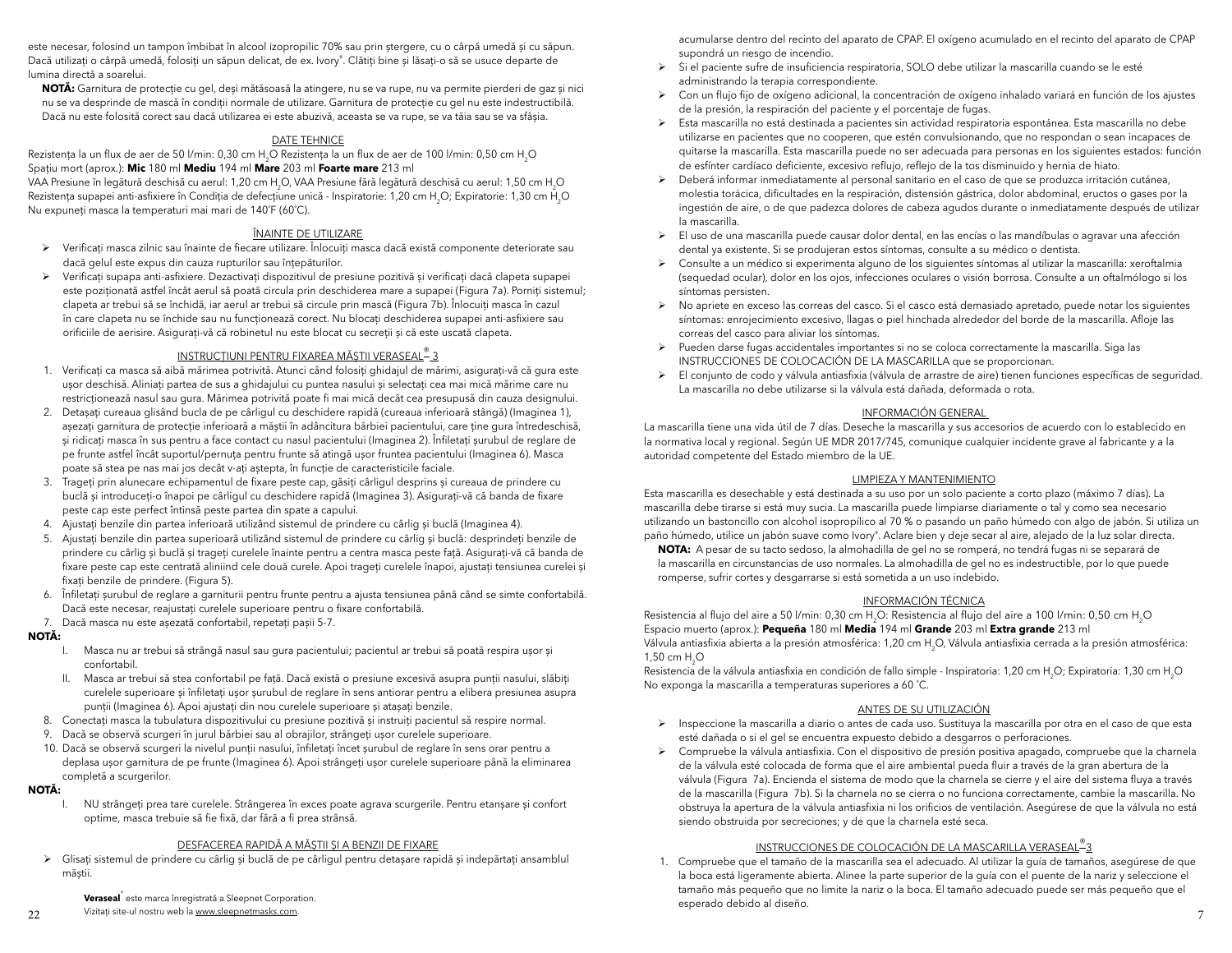este necesar, folosind un tampon îmbibat în alcool izopropilic 70% sau prin ștergere, cu o cârpă umedă și cu săpun. Dacă utilizați o cârpă umedă, folosiți un săpun delicat, de ex. Ivory®. Clătiți bine și lăsați-o să se usuce departe de lumina directă a soarelui.

**NOTĂ:** Garnitura de protecție cu gel, deși mătăsoasă la atingere, nu se va rupe, nu va permite pierderi de gaz și nici nu se va desprinde de mască în condiții normale de utilizare. Garnitura de protecție cu gel nu este indestructibilă. Dacă nu este folosită corect sau dacă utilizarea ei este abuzivă, aceasta se va rupe, se va tăia sau se va sfâșia.

#### DATE TEHNICE

Rezistența la un flux de aer de 50 l/min: 0,30 cm H<sub>2</sub>O Rezistența la un flux de aer de 100 l/min: 0,50 cm H<sub>2</sub>O Spațiu mort (aprox.): **Mic** 180 ml **Mediu** 194 ml **Mare** 203 ml **Foarte mare** 213 ml

VAA Presiune în legătură deschisă cu aerul: 1,20 cm H<sub>2</sub>O, VAA Presiune fără legătură deschisă cu aerul: 1,50 cm H<sub>2</sub>O Rezistența supapei anti-asfixiere în Condiția de defecțiune unică - Inspiratorie: 1,20 cm H<sub>2</sub>O; Expiratorie: 1,30 cm H<sub>2</sub>O Nu expuneţi masca la temperaturi mai mari de 140˚F (60˚C).

#### ÎNAINTE DE UTILIZARE

- <sup>¾</sup> Verificați masca zilnic sau înainte de fiecare utilizare. Înlocuiţi masca dacă există componente deteriorate sau dacă gelul este expus din cauza rupturilor sau înţepăturilor.
- ¾ Verificați supapa anti-asfixiere. Dezactivați dispozitivul de presiune pozitivă și verificaţi dacă clapeta supapei este poziționată astfel încât aerul să poată circula prin deschiderea mare a supapei (Figura 7a). Porniți sistemul; clapeta ar trebui să se închidă, iar aerul ar trebui să circule prin mască (Figura 7b). Înlocuiți masca în cazul în care clapeta nu se închide sau nu funcţionează corect. Nu blocați deschiderea supapei anti-asfixiere sau orificiile de aerisire. Asigurați-vă că robinetul nu este blocat cu secreţii și că este uscată clapeta.

#### INSTRUCȚIUNI PENTRU FIXAREA MĂȘTII VERASEAL<sup>®</sup> 3

- 1. Verificaţi ca masca să aibă mărimea potrivită. Atunci când folosiți ghidajul de mărimi, asigurați-vă că gura este ușor deschisă. Aliniați partea de sus a ghidajului cu puntea nasului și selectați cea mai mică mărime care nu restricționează nasul sau gura. Mărimea potrivită poate fi mai mică decât cea presupusă din cauza designului.
- 2. Detașați cureaua glisând bucla de pe cârligul cu deschidere rapidă (cureaua inferioară stângă) (Imaginea 1), așezați garnitura de protecție inferioară a măștii în adâncitura bărbiei pacientului, care ține gura întredeschisă, <sup>ș</sup>i ridicați masca în sus pentru a face contact cu nasul pacientului (Imaginea 2). Înfiletați șurubul de reglare de pe frunte astfel încât suportul/pernuța pentru frunte să atingă ușor fruntea pacientului (Imaginea 6). Masca poate să stea pe nas mai jos decât v-ați aștepta, în funcție de caracteristicile faciale.
- 3. Trageți prin alunecare echipamentul de fixare peste cap, găsiți cârligul desprins și cureaua de prindere cu buclă și introduceți-o înapoi pe cârligul cu deschidere rapidă (Imaginea 3). Asigurați-vă că banda de fixare peste cap este perfect întinsă peste partea din spate a capului.
- 4. Ajustaţi benzile din partea inferioară utilizând sistemul de prindere cu cârlig și buclă (Imaginea 4).
- 5. Ajustaţi benzile din partea superioară utilizând sistemul de prindere cu cârlig și buclă: desprindeți benzile de prindere cu cârlig și buclă și trageți curelele înainte pentru a centra masca peste față. Asigurați-vă că banda de fixare peste cap este centrată aliniind cele două curele. Apoi trageți curelele înapoi, ajustați tensiunea curelei și fixați benzile de prindere. (Figura 5).
- 6. Înfiletați șurubul de reglare a garniturii pentru frunte pentru a ajusta tensiunea până când se simte confortabilă. Dacă este necesar, reajustați curelele superioare pentru o fixare confortabilă.
- 7. Dacă masca nu este așezată confortabil, repetați pașii 5-7.

#### **NOTĂ:**

- I. Masca nu ar trebui să strângă nasul sau gura pacientului; pacientul ar trebui să poată respira ușor și confortabil.
- II. Masca ar trebui să stea confortabil pe faţă. Dacă există o presiune excesivă asupra punții nasului, slăbiți curelele superioare și înfiletați ușor șurubul de reglare în sens antiorar pentru a elibera presiunea asupra punții (Imaginea 6). Apoi ajustați din nou curelele superioare și atașați benzile.
- 8. Conectați masca la tubulatura dispozitivului cu presiune pozitivă și instruiți pacientul să respire normal.
- 9. Dacă se observă scurgeri în jurul bărbiei sau al obrajilor, strângeți ușor curelele superioare.
- 10. Dacă se observă scurgeri la nivelul punții nasului, înfiletați încet șurubul de reglare în sens orar pentru a deplasa ușor garnitura de pe frunte (Imaginea 6). Apoi strângeți ușor curelele superioare până la eliminarea completă a scurgerilor.

#### **NOTĂ:**

 I. NU strângeți prea tare curelele. Strângerea în exces poate agrava scurgerile. Pentru etanșare și confort optime, masca trebuie să fie fixă, dar fără a fi prea strânsă.

## DESFACEREA RAPIDĂ A MĂȘTII ȘI A BENZII DE FIXARE

¾ Glisați sistemul de prindere cu cârlig și buclă de pe cârligul pentru detașare rapidă și indepărtați ansamblul măștii.

**Veraseal**® este marca înregistrată a Sleepnet Corporation.

acumularse dentro del recinto del aparato de CPAP. El oxígeno acumulado en el recinto del aparato de CPAP supondrá un riesgo de incendio.

- ¾ Si el paciente sufre de insuficiencia respiratoria, SOLO debe utilizar la mascarilla cuando se le esté administrando la terapia correspondiente.
- ¾ Con un flujo fijo de oxígeno adicional, la concentración de oxígeno inhalado variará en función de los ajustes de la presión, la respiración del paciente y el porcentaje de fugas.
- ¾ Esta mascarilla no está destinada a pacientes sin actividad respiratoria espontánea. Esta mascarilla no debe utilizarse en pacientes que no cooperen, que estén convulsionando, que no respondan o sean incapaces de quitarse la mascarilla. Esta mascarilla puede no ser adecuada para personas en los siguientes estados: función de esfínter cardíaco deficiente, excesivo reflujo, reflejo de la tos disminuido y hernia de hiato.
- ¾ Deberá informar inmediatamente al personal sanitario en el caso de que se produzca irritación cutánea, molestia torácica, dificultades en la respiración, distensión gástrica, dolor abdominal, eructos o gases por la ingestión de aire, o de que padezca dolores de cabeza agudos durante o inmediatamente después de utilizar la mascarilla.
- ¾ El uso de una mascarilla puede causar dolor dental, en las encías o las mandíbulas o agravar una afección dental ya existente. Si se produjeran estos síntomas, consulte a su médico o dentista.
- ¾ Consulte a un médico si experimenta alguno de los siguientes síntomas al utilizar la mascarilla: xeroftalmia (sequedad ocular), dolor en los ojos, infecciones oculares o visión borrosa. Consulte a un oftalmólogo si los síntomas persisten.
- ¾ No apriete en exceso las correas del casco. Si el casco está demasiado apretado, puede notar los siguientes síntomas: enrojecimiento excesivo, llagas o piel hinchada alrededor del borde de la mascarilla. Afloje las correas del casco para aliviar los síntomas.
- ¾ Pueden darse fugas accidentales importantes si no se coloca correctamente la mascarilla. Siga las INSTRUCCIONES DE COLOCACIÓN DE LA MASCARILLA que se proporcionan.
- ¾ El conjunto de codo y válvula antiasfixia (válvula de arrastre de aire) tienen funciones específicas de seguridad. La mascarilla no debe utilizarse si la válvula está dañada, deformada o rota.

#### INFORMACIÓN GENERAL

La mascarilla tiene una vida útil de 7 días. Deseche la mascarilla y sus accesorios de acuerdo con lo establecido en la normativa local y regional. Según UE MDR 2017/745, comunique cualquier incidente grave al fabricante y a la autoridad competente del Estado miembro de la UE.

#### LIMPIEZA Y MANTENIMIENTO

 Esta mascarilla es desechable y está destinada a su uso por un solo paciente a corto plazo (máximo 7 días). La mascarilla debe tirarse si está muy sucia. La mascarilla puede limpiarse diariamente o tal y como sea necesario utilizando un bastoncillo con alcohol isopropílico al 70 % o pasando un paño húmedo con algo de jabón. Si utiliza un paño húmedo, utilice un jabón suave como Ivory®. Aclare bien y deje secar al aire, alejado de la luz solar directa.

**NOTA:** A pesar de su tacto sedoso, la almohadilla de gel no se romperá, no tendrá fugas ni se separará de la mascarilla en circunstancias de uso normales. La almohadilla de gel no es indestructible, por lo que puede romperse, sufrir cortes y desgarrarse si está sometida a un uso indebido.

#### INFORMACIÓN TÉCNICA

Resistencia al flujo del aire a 50 l/min: 0,30 cm H<sub>2</sub>O: Resistencia al flujo del aire a 100 l/min: 0,50 cm H<sub>2</sub>O Espacio muerto (aprox.): **Pequeña** 180 ml **Media** 194 ml **Grande** 203 ml **Extra grande** 213 ml

Válvula antiasfixia abierta a la presión atmosférica: 1,20 cm H<sub>2</sub>O, Válvula antiasfixia cerrada a la presión atmosférica: 1,50 cm H<sub>2</sub>O

Resistencia de la válvula antiasfixia en condición de fallo simple - Inspiratoria: 1,20 cm H<sub>2</sub>O; Expiratoria: 1,30 cm H<sub>2</sub>O No exponga la mascarilla a temperaturas superiores a 60 ˚C.

#### ANTES DE SU UTILIZACIÓN

- ¾ Inspeccione la mascarilla a diario o antes de cada uso. Sustituya la mascarilla por otra en el caso de que esta esté dañada o si el gel se encuentra expuesto debido a desgarros o perforaciones.
- ¾ Compruebe la válvula antiasfixia. Con el dispositivo de presión positiva apagado, compruebe que la charnela de la válvula esté colocada de forma que el aire ambiental pueda fluir a través de la gran abertura de la válvula (Figura 7a). Encienda el sistema de modo que la charnela se cierre y el aire del sistema fluya a través de la mascarilla (Figura 7b). Si la charnela no se cierra o no funciona correctamente, cambie la mascarilla. No obstruya la apertura de la válvula antiasfixia ni los orificios de ventilación. Asegúrese de que la válvula no está siendo obstruida por secreciones; y de que la charnela esté seca.

#### INSTRUCCIONES DE COLOCACIÓN DE LA MASCARILLA VERASEAL®3

Vizitaţi site-ul nostru web la www.sleepnetmasks.com. <sup>7</sup>1. Compruebe que el tamaño de la mascarilla sea el adecuado. Al utilizar la guía de tamaños, asegúrese de que la boca está ligeramente abierta. Alinee la parte superior de la guía con el puente de la nariz y seleccione el tamaño más pequeño que no limite la nariz o la boca. El tamaño adecuado puede ser más pequeño que el esperado debido al diseño.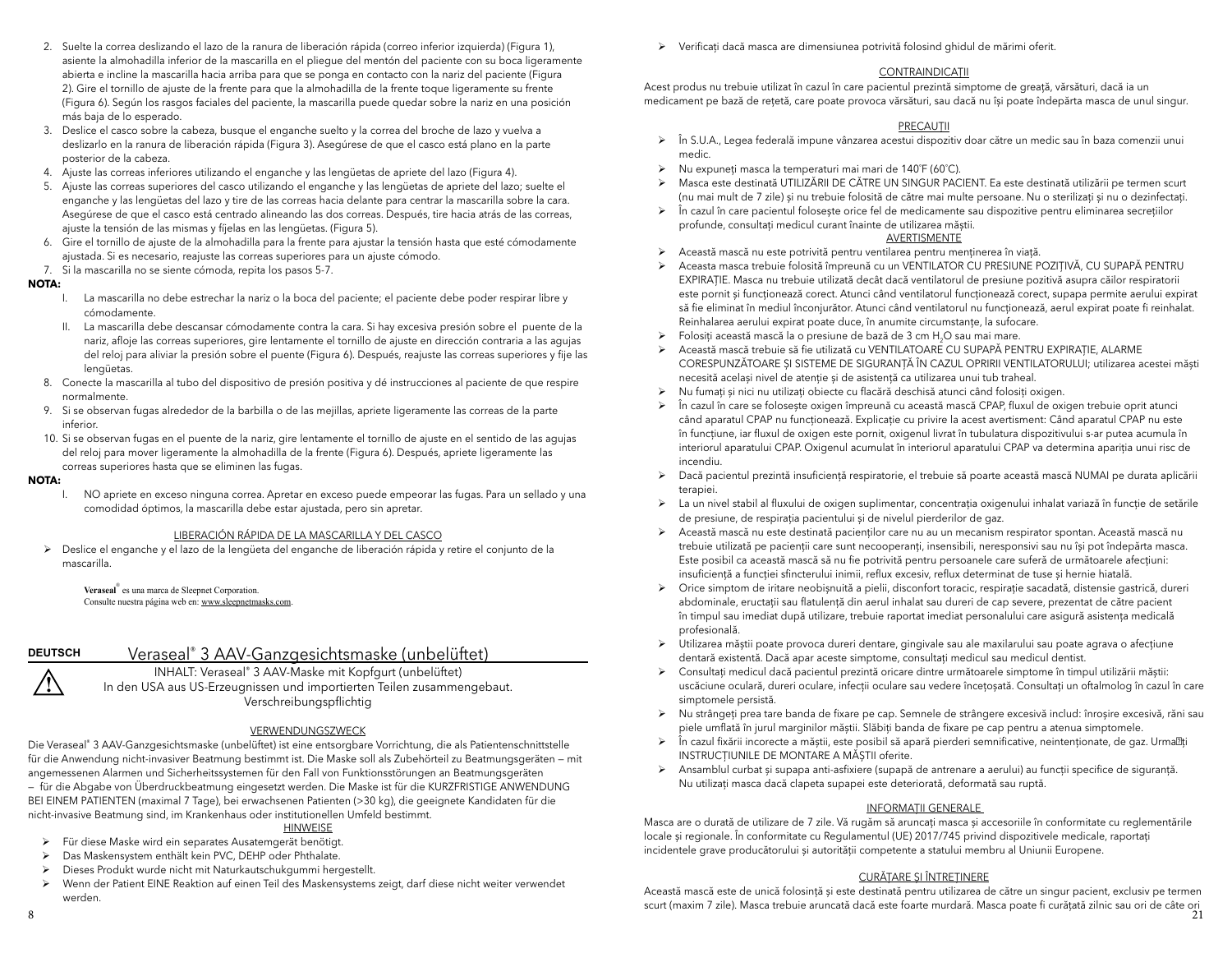- 2. Suelte la correa deslizando el lazo de la ranura de liberación rápida (correo inferior izquierda) (Figura 1), asiente la almohadilla inferior de la mascarilla en el pliegue del mentón del paciente con su boca ligeramente abierta e incline la mascarilla hacia arriba para que se ponga en contacto con la nariz del paciente (Figura 2). Gire el tornillo de ajuste de la frente para que la almohadilla de la frente toque ligeramente su frente (Figura 6). Según los rasgos faciales del paciente, la mascarilla puede quedar sobre la nariz en una posición más baja de lo esperado.
- 3. Deslice el casco sobre la cabeza, busque el enganche suelto y la correa del broche de lazo y vuelva a deslizarlo en la ranura de liberación rápida (Figura 3). Asegúrese de que el casco está plano en la parte posterior de la cabeza.
- 4. Ajuste las correas inferiores utilizando el enganche y las lengüetas de apriete del lazo (Figura 4).
- 5. Ajuste las correas superiores del casco utilizando el enganche y las lengüetas de apriete del lazo; suelte el enganche y las lengüetas del lazo y tire de las correas hacia delante para centrar la mascarilla sobre la cara. Asegúrese de que el casco está centrado alineando las dos correas. Después, tire hacia atrás de las correas, ajuste la tensión de las mismas y fíjelas en las lengüetas. (Figura 5).
- 6. Gire el tornillo de ajuste de la almohadilla para la frente para ajustar la tensión hasta que esté cómodamente ajustada. Si es necesario, reajuste las correas superiores para un ajuste cómodo.
- 7. Si la mascarilla no se siente cómoda, repita los pasos 5-7.

#### **NOTA:**

- I. La mascarilla no debe estrechar la nariz o la boca del paciente; el paciente debe poder respirar libre y cómodamente.
- II. La mascarilla debe descansar cómodamente contra la cara. Si hay excesiva presión sobre el puente de la nariz, afloje las correas superiores, gire lentamente el tornillo de ajuste en dirección contraria a las agujas del reloj para aliviar la presión sobre el puente (Figura 6). Después, reajuste las correas superiores y fije las lengüetas.
- 8. Conecte la mascarilla al tubo del dispositivo de presión positiva y dé instrucciones al paciente de que respire normalmente.
- 9. Si se observan fugas alrededor de la barbilla o de las mejillas, apriete ligeramente las correas de la parte inferior.
- 10. Si se observan fugas en el puente de la nariz, gire lentamente el tornillo de ajuste en el sentido de las agujas del reloj para mover ligeramente la almohadilla de la frente (Figura 6). Después, apriete ligeramente las correas superiores hasta que se eliminen las fugas.

#### **NOTA:**

**!**

NO apriete en exceso ninguna correa. Apretar en exceso puede empeorar las fugas. Para un sellado y una comodidad óptimos, la mascarilla debe estar ajustada, pero sin apretar.

## LIBERACIÓN RÁPIDA DE LA MASCARILLA Y DEL CASCO

 ¾ Deslice el enganche y el lazo de la lengüeta del enganche de liberación rápida y retire el conjunto de la mascarilla.

**Veraseal**® es una marca de Sleepnet Corporation. Consulte nuestra página web en: www.sleepnetmasks.com.

#### Veraseal® 3 AAV-Ganzgesichtsmaske (unbelüftet) **DEUTSCH**

INHALT: Veraseal® 3 AAV-Maske mit Kopfgurt (unbelüftet) In den USA aus US-Erzeugnissen und importierten Teilen zusammengebaut. Verschreibungspflichtig

#### VERWENDUNGSZWECK

Die Veraseal® 3 AAV-Ganzgesichtsmaske (unbelüftet) ist eine entsorgbare Vorrichtung, die als Patientenschnittstelle für die Anwendung nicht-invasiver Beatmung bestimmt ist. Die Maske soll als Zubehörteil zu Beatmungsgeräten — mit angemessenen Alarmen und Sicherheitssystemen für den Fall von Funktionsstörungen an Beatmungsgeräten — für die Abgabe von Überdruckbeatmung eingesetzt werden. Die Maske ist für die KURZFRISTIGE ANWENDUNG BEI EINEM PATIENTEN (maximal 7 Tage), bei erwachsenen Patienten (>30 kg), die geeignete Kandidaten für die nicht-invasive Beatmung sind, im Krankenhaus oder institutionellen Umfeld bestimmt.

#### HINWEISE

- ¾ Für diese Maske wird ein separates Ausatemgerät benötigt.
- ¾ Das Maskensystem enthält kein PVC, DEHP oder Phthalate.
- ¾ Dieses Produkt wurde nicht mit Naturkautschukgummi hergestellt.
- ¾ Wenn der Patient EINE Reaktion auf einen Teil des Maskensystems zeigt, darf diese nicht weiter verwendet werden.

¾ Verificați dacă masca are dimensiunea potrivită folosind ghidul de mărimi oferit.

#### **CONTRAINDICATII**

Acest produs nu trebuie utilizat în cazul în care pacientul prezintă simptome de greată, vărsături, dacă ia un medicament pe bază de rețetă, care poate provoca vărsături, sau dacă nu își poate îndepărta masca de unul singur.

#### PRECAUȚII

- <sup>¾</sup> În S.U.A., Legea federală impune vânzarea acestui dispozitiv doar către un medic sau în baza comenzii unui medic.
- ¾ Nu expuneţi masca la temperaturi mai mari de 140˚F (60˚C).
- <sup>¾</sup> Masca este destinată UTILIZĂRII DE CĂTRE UN SINGUR PACIENT. Ea este destinată utilizării pe termen scurt (nu mai mult de 7 zile) și nu trebuie folosită de către mai multe persoane. Nu o sterilizați și nu o dezinfectați.
- <sup>¾</sup> În cazul în care pacientul folosește orice fel de medicamente sau dispozitive pentru eliminarea secrețiilor profunde, consultați medicul curant înainte de utilizarea măștii.

# **AVERTISMENTE**

- ¾ Această mască nu este potrivită pentru ventilarea pentru menținerea în viaţă.
- <sup>¾</sup> Aceasta masca trebuie folosită împreună cu un VENTILATOR CU PRESIUNE POZIȚIVĂ, CU SUPAPĂ PENTRU EXPIRAŢIE. Masca nu trebuie utilizată decât dacă ventilatorul de presiune pozitivă asupra căilor respiratorii este pornit și funcționează corect. Atunci când ventilatorul funcționează corect, supapa permite aerului expirat să fie eliminat în mediul înconjurător. Atunci când ventilatorul nu functionează, aerul expirat poate fi reinhalat. Reinhalarea aerului expirat poate duce, în anumite circumstanțe, la sufocare.
- <sup>¾</sup> Folosiți această mască la o presiune de bază de 3 cm H2O sau mai mare.
- <sup>¾</sup> Această mască trebuie să fie utilizată cu VENTILATOARE CU SUPAPĂ PENTRU EXPIRAȚIE, ALARME CORESPUNZĂTOARE ȘI SISTEME DE SIGURANȚĂ ÎN CAZUL OPRIRII VENTILATORULUI; utilizarea acestei măști necesită același nivel de atenție și de asistență ca utilizarea unui tub traheal.
- ¾ Nu fumați și nici nu utilizați obiecte cu flacără deschisă atunci când folosiți oxigen.
- <sup>¾</sup> În cazul în care se folosește oxigen împreună cu această mască CPAP, fluxul de oxigen trebuie oprit atunci când aparatul CPAP nu funcționează. Explicație cu privire la acest avertisment: Când aparatul CPAP nu este în funcţiune, iar fluxul de oxigen este pornit, oxigenul livrat în tubulatura dispozitivului s-ar putea acumula în interiorul aparatului CPAP. Oxigenul acumulat în interiorul aparatului CPAP va determina apariția unui risc de incendiu.
- ¾ Dacă pacientul prezintă insuficienţă respiratorie, el trebuie să poarte această mască NUMAI pe durata aplicării terapiei.
- La un nivel stabil al fluxului de oxigen suplimentar, concentrația oxigenului inhalat variază în funcție de setările de presiune, de respirația pacientului și de nivelul pierderilor de gaz.
- ¾ Această mască nu este destinată pacienţilor care nu au un mecanism respirator spontan. Această mască nu trebuie utilizată pe pacienţii care sunt necooperanți, insensibili, neresponsivi sau nu își pot îndepărta masca. Este posibil ca această mască să nu fie potrivită pentru persoanele care suferă de următoarele afecțiuni: insuficiență a funcției sfincterului inimii, reflux excesiv, reflux determinat de tuse și hernie hiatală.
- ¾ Orice simptom de iritare neobișnuită a pielii, disconfort toracic, respiraţie sacadată, distensie gastrică, dureri abdominale, eructaţii sau flatulenţă din aerul inhalat sau dureri de cap severe, prezentat de către pacient în timpul sau imediat după utilizare, trebuie raportat imediat personalului care asigură asistența medicală profesională.
- ¾ Utilizarea măștii poate provoca dureri dentare, gingivale sau ale maxilarului sau poate agrava o afecţiune dentară existentă. Dacă apar aceste simptome, consultați medicul sau medicul dentist.
- ¾ Consultați medicul dacă pacientul prezintă oricare dintre următoarele simptome în timpul utilizării măștii: uscăciune oculară, dureri oculare, infecţii oculare sau vedere înceţoșată. Consultați un oftalmolog în cazul în care simptomele persistă.
- ¾ Nu strângeți prea tare banda de fixare pe cap. Semnele de strângere excesivă includ: înroșire excesivă, răni sau piele umflată în jurul marginilor măștii. Slăbiţi banda de fixare pe cap pentru a atenua simptomele.
- <sup>¾</sup> În cazul fixării incorecte a măștii, este posibil să apară pierderi semnificative, neintenționate, de gaz. Urmați INSTRUCȚIUNILE DE MONTARE A MĂȘTII oferite.
- ¾ Ansamblul curbat și supapa anti-asfixiere (supapă de antrenare a aerului) au funcţii specifice de siguranţă. Nu utilizați masca dacă clapeta supapei este deteriorată, deformată sau ruptă.

#### INFORMAȚII GENERALE

Masca are o durată de utilizare de 7 zile. Vă rugăm să aruncați masca și accesoriile în conformitate cu reglementările locale și regionale. În conformitate cu Regulamentul (UE) 2017/745 privind dispozitivele medicale, raportați incidentele grave producătorului și autorității competente a statului membru al Uniunii Europene.

#### CURĂŢARE ȘI ÎNTREŢINERE

Această mască este de unică folosinţă și este destinată pentru utilizarea de către un singur pacient, exclusiv pe termen scurt (maxim 7 zile). Masca trebuie aruncată dacă este foarte murdară. Masca poate fi curățată zilnic sau ori de câte ori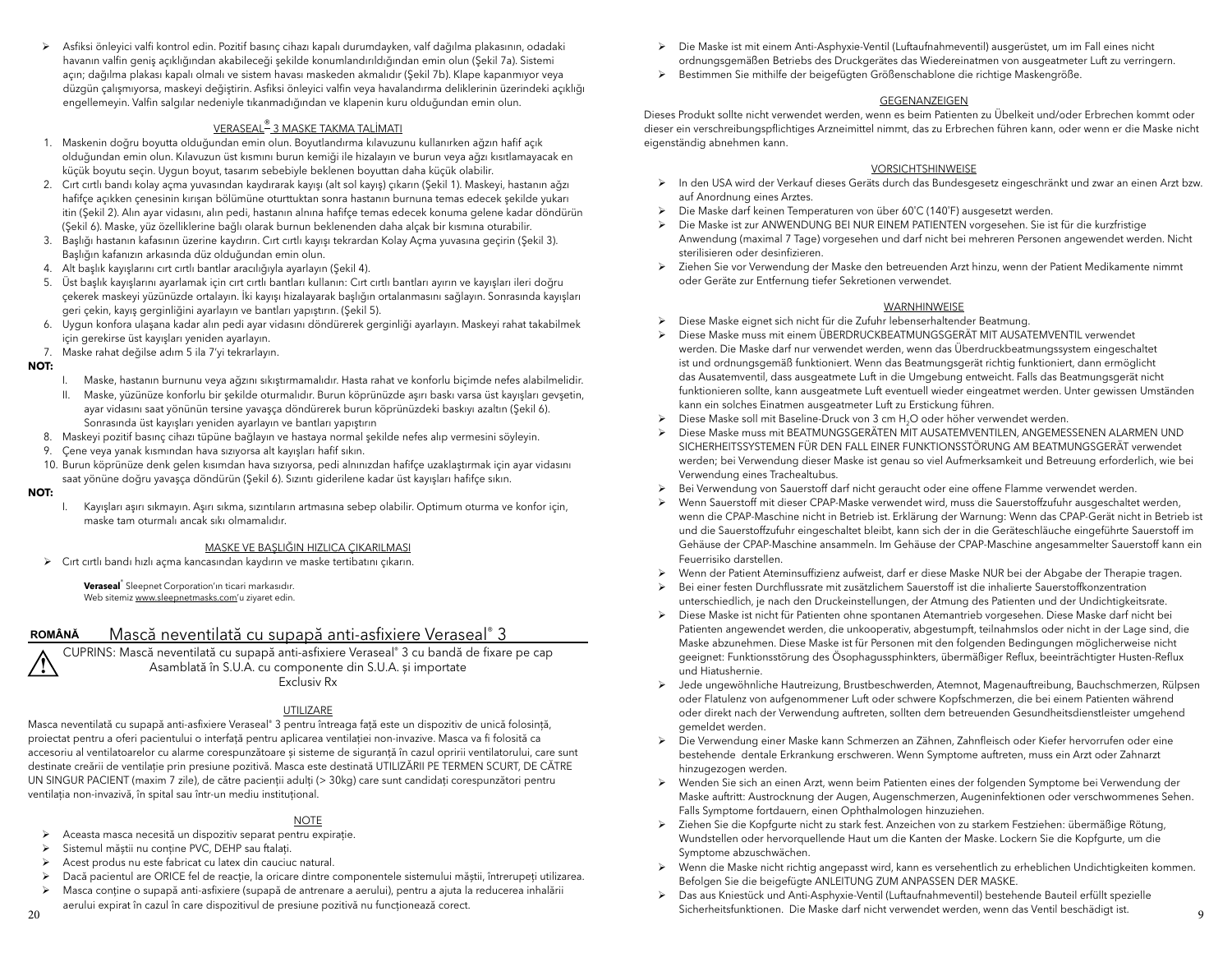¾ Asfiksi önleyici valfi kontrol edin. Pozitif basınç cihazı kapalı durumdayken, valf dağılma plakasının, odadaki havanın valfin geniş açıklığından akabileceği şekilde konumlandırıldığından emin olun (Şekil 7a). Sistemi açın; dağılma plakası kapalı olmalı ve sistem havası maskeden akmalıdır (Şekil 7b). Klape kapanmıyor veya düzgün çalışmıyorsa, maskeyi değiştirin. Asfiksi önleyici valfin veya havalandırma deliklerinin üzerindeki açıklığı engellemeyin. Valfin salgılar nedeniyle tıkanmadığından ve klapenin kuru olduğundan emin olun.

## <u>VERASEAL® 3 MASKE TAKMA TALİMAT</u>I

- 1. Maskenin doğru boyutta olduğundan emin olun. Boyutlandırma kılavuzunu kullanırken ağzın hafif açık olduğundan emin olun. Kılavuzun üst kısmını burun kemiği ile hizalayın ve burun veya ağzı kısıtlamayacak en küçük boyutu seçin. Uygun boyut, tasarım sebebiyle beklenen boyuttan daha küçük olabilir.
- 2. Cırt cırtlı bandı kolay açma yuvasından kaydırarak kayışı (alt sol kayış) çıkarın (Şekil 1). Maskeyi, hastanın ağzı hafifçe açıkken çenesinin kırışan bölümüne oturttuktan sonra hastanın burnuna temas edecek şekilde yukarı itin (Şekil 2). Alın ayar vidasını, alın pedi, hastanın alnına hafifçe temas edecek konuma gelene kadar döndürün (Şekil 6). Maske, yüz özelliklerine bağlı olarak burnun beklenenden daha alçak bir kısmına oturabilir.
- 3. Başlığı hastanın kafasının üzerine kaydırın. Cırt cırtlı kayışı tekrardan Kolay Açma yuvasına geçirin (Şekil 3). Başlığın kafanızın arkasında düz olduğundan emin olun.
- 4. Alt başlık kayışlarını cırt cırtlı bantlar aracılığıyla ayarlayın (Şekil 4).
- 5. Üst başlık kayışlarını ayarlamak için cırt cırtlı bantları kullanın: Cırt cırtlı bantları ayırın ve kayışları ileri doğru çekerek maskeyi yüzünüzde ortalayın. İki kayışı hizalayarak başlığın ortalanmasını sağlayın. Sonrasında kayışları geri çekin, kayış gerginliğini ayarlayın ve bantları yapıştırın. (Şekil 5).
- 6. Uygun konfora ulaşana kadar alın pedi ayar vidasını döndürerek gerginliği ayarlayın. Maskeyi rahat takabilmek için gerekirse üst kayışları yeniden ayarlayın.
- 7. Maske rahat değilse adım 5 ila 7'yi tekrarlayın.

#### **NOT:**

- I. Maske, hastanın burnunu veya ağzını sıkıştırmamalıdır. Hasta rahat ve konforlu biçimde nefes alabilmelidir.
- II. Maske, yüzünüze konforlu bir şekilde oturmalıdır. Burun köprünüzde aşırı baskı varsa üst kayışları gevşetin, ayar vidasını saat yönünün tersine yavaşça döndürerek burun köprünüzdeki baskıyı azaltın (Şekil 6). Sonrasında üst kayışları yeniden ayarlayın ve bantları yapıştırın
- 8. Maskeyi pozitif basınç cihazı tüpüne bağlayın ve hastaya normal şekilde nefes alıp vermesini söyleyin.
- 9. Çene veya yanak kısmından hava sızıyorsa alt kayışları hafif sıkın.
- 10. Burun köprünüze denk gelen kısımdan hava sızıyorsa, pedi alnınızdan hafifçe uzaklaştırmak için ayar vidasını saat yönüne doğru yavaşça döndürün (Şekil 6). Sızıntı giderilene kadar üst kayışları hafifçe sıkın.

#### **NOT:**

 I. Kayışları aşırı sıkmayın. Aşırı sıkma, sızıntıların artmasına sebep olabilir. Optimum oturma ve konfor için, maske tam oturmalı ancak sıkı olmamalıdır.

## MASKE VE BAŞLIĞIN HIZLICA ÇIKARILMASI

¾ Cırt cırtlı bandı hızlı açma kancasından kaydırın ve maske tertibatını çıkarın.

**Veraseal**® Sleepnet Corporation'ın ticari markasıdır. Web sitemiz www.sleepnetmasks.com'u ziyaret edin.

#### Mască neventilată cu supapă anti-asfixiere Veraseal® 3 **ROMÂNĂ**

CUPRINS: Mască neventilată cu supapă anti-asfixiere Veraseal® 3 cu bandă de fixare pe cap Asamblată în S.U.A. cu componente din S.U.A. și importate Exclusiv Rx**!**

#### UTILIZARE

Masca neventilată cu supapă anti-asfixiere Veraseal® 3 pentru întreaga fată este un dispozitiv de unică folosintă, proiectat pentru a oferi pacientului o interfată pentru aplicarea ventilației non-invazive. Masca va fi folosită ca accesoriu al ventilatoarelor cu alarme corespunzătoare și sisteme de siguranță în cazul opririi ventilatorului, care sunt destinate creării de ventilație prin presiune pozitivă. Masca este destinată UTILIZĂRII PE TERMEN SCURT, DE CĂTRE UN SINGUR PACIENT (maxim 7 zile), de către pacienții adulți (> 30kg) care sunt candidați corespunzători pentru ventilatia non-invazivă, în spital sau într-un mediu institutional.

#### <u>NOTE</u>

- ¾ Aceasta masca necesită un dispozitiv separat pentru expiraţie.
- ¾ Sistemul măștii nu conţine PVC, DEHP sau ftalaţi.
- ¾ Acest produs nu este fabricat cu latex din cauciuc natural.
- ¾ Dacă pacientul are ORICE fel de reacţie, la oricare dintre componentele sistemului măștii, întrerupeţi utilizarea.
- ¾ Masca conține o supapă anti-asfixiere (supapă de antrenare a aerului), pentru a ajuta la reducerea inhalării aerului expirat în cazul în care dispozitivul de presiune pozitivă nu funcționează corect.
- ¾ Die Maske ist mit einem Anti-Asphyxie-Ventil (Luftaufnahmeventil) ausgerüstet, um im Fall eines nicht ordnungsgemäßen Betriebs des Druckgerätes das Wiedereinatmen von ausgeatmeter Luft zu verringern.
- ¾ Bestimmen Sie mithilfe der beigefügten Größenschablone die richtige Maskengröße.

### GEGENANZEIGEN

Dieses Produkt sollte nicht verwendet werden, wenn es beim Patienten zu Übelkeit und/oder Erbrechen kommt oder dieser ein verschreibungspflichtiges Arzneimittel nimmt, das zu Erbrechen führen kann, oder wenn er die Maske nicht eigenständig abnehmen kann.

#### VORSICHTSHINWEISE

- ¾ In den USA wird der Verkauf dieses Geräts durch das Bundesgesetz eingeschränkt und zwar an einen Arzt bzw. auf Anordnung eines Arztes.
- ¾ Die Maske darf keinen Temperaturen von über 60˚C (140˚F) ausgesetzt werden.
- ¾ Die Maske ist zur ANWENDUNG BEI NUR EINEM PATIENTEN vorgesehen. Sie ist für die kurzfristige Anwendung (maximal 7 Tage) vorgesehen und darf nicht bei mehreren Personen angewendet werden. Nicht sterilisieren oder desinfizieren.
- ¾ Ziehen Sie vor Verwendung der Maske den betreuenden Arzt hinzu, wenn der Patient Medikamente nimmt oder Geräte zur Entfernung tiefer Sekretionen verwendet.

#### WARNHINWEISE

- ¾ Diese Maske eignet sich nicht für die Zufuhr lebenserhaltender Beatmung.
- ¾ Diese Maske muss mit einem ÜBERDRUCKBEATMUNGSGERÄT MIT AUSATEMVENTIL verwendet werden. Die Maske darf nur verwendet werden, wenn das Überdruckbeatmungssystem eingeschaltet ist und ordnungsgemäß funktioniert. Wenn das Beatmungsgerät richtig funktioniert, dann ermöglicht das Ausatemventil, dass ausgeatmete Luft in die Umgebung entweicht. Falls das Beatmungsgerät nicht funktionieren sollte, kann ausgeatmete Luft eventuell wieder eingeatmet werden. Unter gewissen Umständen kann ein solches Einatmen ausgeatmeter Luft zu Erstickung führen.
- Diese Maske soll mit Baseline-Druck von 3 cm H<sub>2</sub>O oder höher verwendet werden.
- ¾ Diese Maske muss mit BEATMUNGSGERÄTEN MIT AUSATEMVENTILEN, ANGEMESSENEN ALARMEN UND SICHERHEITSSYSTEMEN FÜR DEN FALL EINER FUNKTIONSSTÖRUNG AM BEATMUNGSGERÄT verwendet werden; bei Verwendung dieser Maske ist genau so viel Aufmerksamkeit und Betreuung erforderlich, wie bei Verwendung eines Trachealtubus.
- ¾ Bei Verwendung von Sauerstoff darf nicht geraucht oder eine offene Flamme verwendet werden.
- ¾ Wenn Sauerstoff mit dieser CPAP-Maske verwendet wird, muss die Sauerstoffzufuhr ausgeschaltet werden, wenn die CPAP-Maschine nicht in Betrieb ist. Erklärung der Warnung: Wenn das CPAP-Gerät nicht in Betrieb ist und die Sauerstoffzufuhr eingeschaltet bleibt, kann sich der in die Geräteschläuche eingeführte Sauerstoff im Gehäuse der CPAP-Maschine ansammeln. Im Gehäuse der CPAP-Maschine angesammelter Sauerstoff kann ein Feuerrisiko darstellen.
- ¾ Wenn der Patient Ateminsuffizienz aufweist, darf er diese Maske NUR bei der Abgabe der Therapie tragen.
- ¾ Bei einer festen Durchflussrate mit zusätzlichem Sauerstoff ist die inhalierte Sauerstoffkonzentration unterschiedlich, je nach den Druckeinstellungen, der Atmung des Patienten und der Undichtigkeitsrate.
- ¾ Diese Maske ist nicht für Patienten ohne spontanen Atemantrieb vorgesehen. Diese Maske darf nicht bei Patienten angewendet werden, die unkooperativ, abgestumpft, teilnahmslos oder nicht in der Lage sind, die Maske abzunehmen. Diese Maske ist für Personen mit den folgenden Bedingungen möglicherweise nicht geeignet: Funktionsstörung des Ösophagussphinkters, übermäßiger Reflux, beeinträchtigter Husten-Reflux und Hiatushernie.
- ¾ Jede ungewöhnliche Hautreizung, Brustbeschwerden, Atemnot, Magenauftreibung, Bauchschmerzen, Rülpsen oder Flatulenz von aufgenommener Luft oder schwere Kopfschmerzen, die bei einem Patienten während oder direkt nach der Verwendung auftreten, sollten dem betreuenden Gesundheitsdienstleister umgehend gemeldet werden.
- ¾ Die Verwendung einer Maske kann Schmerzen an Zähnen, Zahnfleisch oder Kiefer hervorrufen oder eine bestehende dentale Erkrankung erschweren. Wenn Symptome auftreten, muss ein Arzt oder Zahnarzt hinzugezogen werden.
- ¾ Wenden Sie sich an einen Arzt, wenn beim Patienten eines der folgenden Symptome bei Verwendung der Maske auftritt: Austrocknung der Augen, Augenschmerzen, Augeninfektionen oder verschwommenes Sehen. Falls Symptome fortdauern, einen Ophthalmologen hinzuziehen.
- ¾ Ziehen Sie die Kopfgurte nicht zu stark fest. Anzeichen von zu starkem Festziehen: übermäßige Rötung, Wundstellen oder hervorquellende Haut um die Kanten der Maske. Lockern Sie die Kopfgurte, um die Symptome abzuschwächen.
- ¾ Wenn die Maske nicht richtig angepasst wird, kann es versehentlich zu erheblichen Undichtigkeiten kommen. Befolgen Sie die beigefügte ANLEITUNG ZUM ANPASSEN DER MASKE.
- ¾ Das aus Kniestück und Anti-Asphyxie-Ventil (Luftaufnahmeventil) bestehende Bauteil erfüllt spezielle Sicherheitsfunktionen. Die Maske darf nicht verwendet werden, wenn das Ventil beschädigt ist.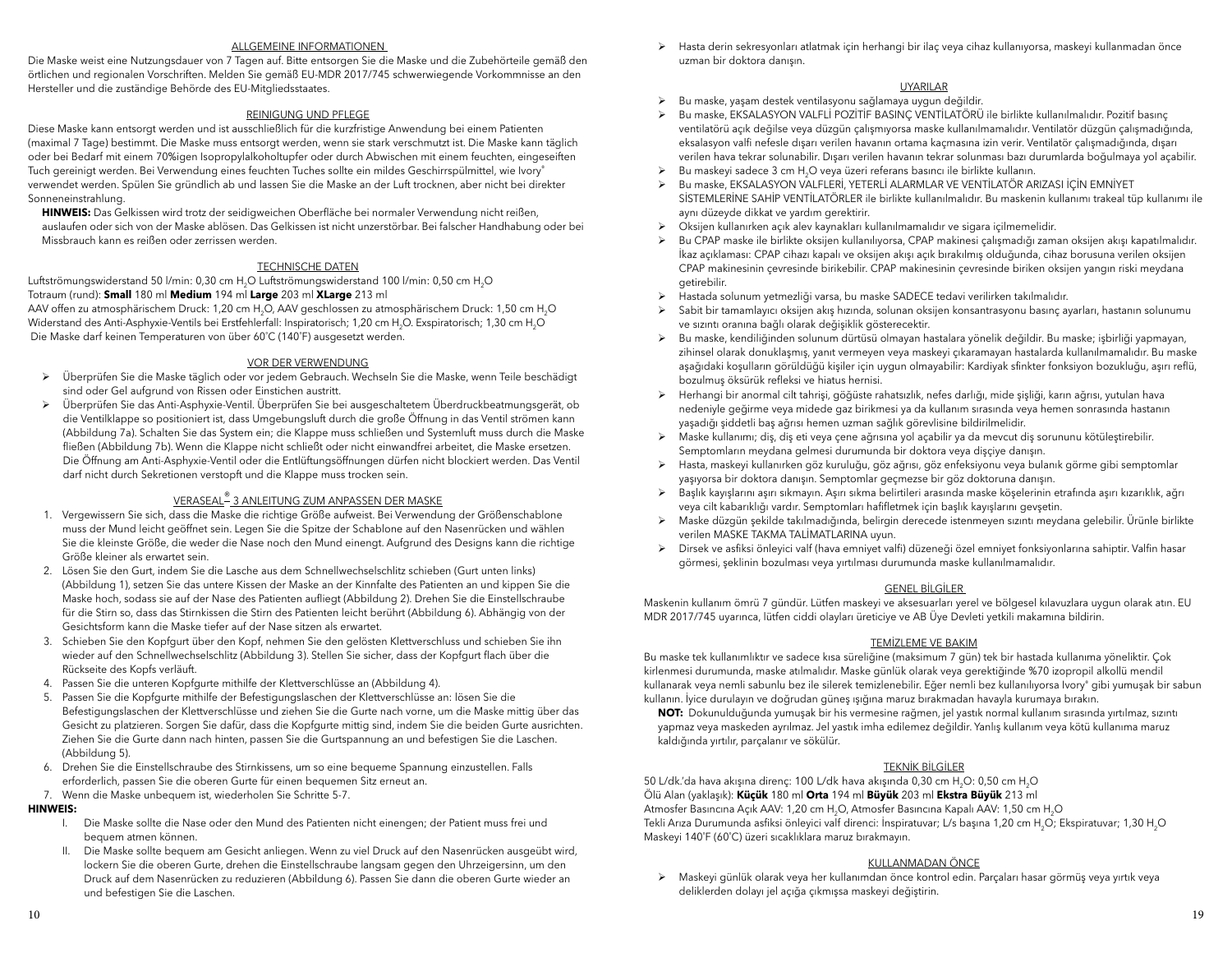#### ALLGEMEINE INFORMATIONEN

Die Maske weist eine Nutzungsdauer von 7 Tagen auf. Bitte entsorgen Sie die Maske und die Zubehörteile gemäß den örtlichen und regionalen Vorschriften. Melden Sie gemäß EU-MDR 2017/745 schwerwiegende Vorkommnisse an den Hersteller und die zuständige Behörde des EU-Mitgliedsstaates.

#### REINIGUNG UND PFLEGE

 Diese Maske kann entsorgt werden und ist ausschließlich für die kurzfristige Anwendung bei einem Patienten (maximal 7 Tage) bestimmt. Die Maske muss entsorgt werden, wenn sie stark verschmutzt ist. Die Maske kann täglich oder bei Bedarf mit einem 70%igen Isopropylalkoholtupfer oder durch Abwischen mit einem feuchten, eingeseiften Tuch gereinigt werden. Bei Verwendung eines feuchten Tuches sollte ein mildes Geschirrspülmittel, wie Ivory® verwendet werden. Spülen Sie gründlich ab und lassen Sie die Maske an der Luft trocknen, aber nicht bei direkter Sonneneinstrahlung.

HINWEIS: Das Gelkissen wird trotz der seidigweichen Oberfläche bei normaler Verwendung nicht reißen, auslaufen oder sich von der Maske ablösen. Das Gelkissen ist nicht unzerstörbar. Bei falscher Handhabung oder bei Missbrauch kann es reißen oder zerrissen werden.

### TECHNISCHE DATEN

Luftströmungswiderstand 50 l/min: 0,30 cm H<sub>2</sub>O Luftströmungswiderstand 100 l/min: 0,50 cm H<sub>2</sub>O Totraum (rund): **Small** 180 ml **Medium** 194 ml **Large** 203 ml **XLarge** 213 ml

AAV offen zu atmosphärischem Druck: 1,20 cm H<sub>2</sub>O, AAV geschlossen zu atmosphärischem Druck: 1,50 cm H<sub>2</sub>O Widerstand des Anti-Asphyxie-Ventils bei Erstfehlerfall: Inspiratorisch; 1,20 cm H<sub>2</sub>O. Exspiratorisch; 1,30 cm H<sub>2</sub>O Die Maske darf keinen Temperaturen von über 60˚C (140˚F) ausgesetzt werden.

## VOR DER VERWENDUNG

- <sup>¾</sup> Überprüfen Sie die Maske täglich oder vor jedem Gebrauch. Wechseln Sie die Maske, wenn Teile beschädigt sind oder Gel aufgrund von Rissen oder Einstichen austritt.
- <sup>¾</sup> Überprüfen Sie das Anti-Asphyxie-Ventil. Überprüfen Sie bei ausgeschaltetem Überdruckbeatmungsgerät, ob die Ventilklappe so positioniert ist, dass Umgebungsluft durch die große Öffnung in das Ventil strömen kann (Abbildung 7a). Schalten Sie das System ein; die Klappe muss schließen und Systemluft muss durch die Maske fließen (Abbildung 7b). Wenn die Klappe nicht schließt oder nicht einwandfrei arbeitet, die Maske ersetzen. Die Öffnung am Anti-Asphyxie-Ventil oder die Entlüftungsöffnungen dürfen nicht blockiert werden. Das Ventil darf nicht durch Sekretionen verstopft und die Klappe muss trocken sein.

## VERASEAL® 3 ANLEITUNG ZUM ANPASSEN DER MASKE

- 1. Vergewissern Sie sich, dass die Maske die richtige Größe aufweist. Bei Verwendung der Größenschablone muss der Mund leicht geöffnet sein. Legen Sie die Spitze der Schablone auf den Nasenrücken und wählen Sie die kleinste Größe, die weder die Nase noch den Mund einengt. Aufgrund des Designs kann die richtige Größe kleiner als erwartet sein.
- 2. Lösen Sie den Gurt, indem Sie die Lasche aus dem Schnellwechselschlitz schieben (Gurt unten links) (Abbildung 1), setzen Sie das untere Kissen der Maske an der Kinnfalte des Patienten an und kippen Sie die Maske hoch, sodass sie auf der Nase des Patienten aufliegt (Abbildung 2). Drehen Sie die Einstellschraube für die Stirn so, dass das Stirnkissen die Stirn des Patienten leicht berührt (Abbildung 6). Abhängig von der Gesichtsform kann die Maske tiefer auf der Nase sitzen als erwartet.
- 3. Schieben Sie den Kopfgurt über den Kopf, nehmen Sie den gelösten Klettverschluss und schieben Sie ihn wieder auf den Schnellwechselschlitz (Abbildung 3). Stellen Sie sicher, dass der Kopfgurt flach über die Rückseite des Kopfs verläuft.
- 4. Passen Sie die unteren Kopfgurte mithilfe der Klettverschlüsse an (Abbildung 4).
- 5. Passen Sie die Kopfgurte mithilfe der Befestigungslaschen der Klettverschlüsse an: lösen Sie die Befestigungslaschen der Klettverschlüsse und ziehen Sie die Gurte nach vorne, um die Maske mittig über das Gesicht zu platzieren. Sorgen Sie dafür, dass die Kopfgurte mittig sind, indem Sie die beiden Gurte ausrichten. Ziehen Sie die Gurte dann nach hinten, passen Sie die Gurtspannung an und befestigen Sie die Laschen. (Abbildung 5).
- 6. Drehen Sie die Einstellschraube des Stirnkissens, um so eine bequeme Spannung einzustellen. Falls erforderlich, passen Sie die oberen Gurte für einen bequemen Sitz erneut an.
- 7. Wenn die Maske unbequem ist, wiederholen Sie Schritte 5-7.

#### **HINWEIS:**

- I. Die Maske sollte die Nase oder den Mund des Patienten nicht einengen; der Patient muss frei und bequem atmen können.
- II. Die Maske sollte bequem am Gesicht anliegen. Wenn zu viel Druck auf den Nasenrücken ausgeübt wird, lockern Sie die oberen Gurte, drehen die Einstellschraube langsam gegen den Uhrzeigersinn, um den Druck auf dem Nasenrücken zu reduzieren (Abbildung 6). Passen Sie dann die oberen Gurte wieder an und befestigen Sie die Laschen.

¾ Hasta derin sekresyonları atlatmak için herhangi bir ilaç veya cihaz kullanıyorsa, maskeyi kullanmadan önce uzman bir doktora danışın.

#### UYARILAR

- ¾ Bu maske, yaşam destek ventilasyonu sağlamaya uygun değildir.
- <sup>¾</sup> Bu maske, EKSALASYON VALFLİ POZİTİF BASINÇ VENTİLATÖRÜ ile birlikte kullanılmalıdır. Pozitif basınç ventilatörü açık değilse veya düzgün çalışmıyorsa maske kullanılmamalıdır. Ventilatör düzgün çalışmadığında, eksalasyon valfi nefesle dışarı verilen havanın ortama kaçmasına izin verir. Ventilatör çalışmadığında, dışarı verilen hava tekrar solunabilir. Dışarı verilen havanın tekrar solunması bazı durumlarda boğulmaya yol açabilir.
- <sup>¾</sup> Bu maskeyi sadece 3 cm H2O veya üzeri referans basıncı ile birlikte kullanın.
- <sup>¾</sup> Bu maske, EKSALASYON VALFLERİ, YETERLİ ALARMLAR VE VENTİLATÖR ARIZASI İÇİN EMNİYET SİSTEMLERİNE SAHİP VENTİLATÖRLER ile birlikte kullanılmalıdır. Bu maskenin kullanımı trakeal tüp kullanımı ile aynı düzeyde dikkat ve yardım gerektirir.
- ¾ Oksijen kullanırken açık alev kaynakları kullanılmamalıdır ve sigara içilmemelidir.
- ¾ Bu CPAP maske ile birlikte oksijen kullanılıyorsa, CPAP makinesi çalışmadığı zaman oksijen akışı kapatılmalıdır. İkaz açıklaması: CPAP cihazı kapalı ve oksijen akışı açık bırakılmış olduğunda, cihaz borusuna verilen oksijen CPAP makinesinin çevresinde birikebilir. CPAP makinesinin çevresinde biriken oksijen yangın riski meydana getirebilir.
- ¾ Hastada solunum yetmezliği varsa, bu maske SADECE tedavi verilirken takılmalıdır.
- ¾ Sabit bir tamamlayıcı oksijen akış hızında, solunan oksijen konsantrasyonu basınç ayarları, hastanın solunumu ve sızıntı oranına bağlı olarak değişiklik gösterecektir.
- ¾ Bu maske, kendiliğinden solunum dürtüsü olmayan hastalara yönelik değildir. Bu maske; işbirliği yapmayan, zihinsel olarak donuklaşmış, yanıt vermeyen veya maskeyi çıkaramayan hastalarda kullanılmamalıdır. Bu maske aşağıdaki koşulların görüldüğü kişiler için uygun olmayabilir: Kardiyak sfinkter fonksiyon bozukluğu, aşırı reflü, bozulmuş öksürük refleksi ve hiatus hernisi.
- ¾ Herhangi bir anormal cilt tahrişi, göğüste rahatsızlık, nefes darlığı, mide şişliği, karın ağrısı, yutulan hava nedeniyle geğirme veya midede gaz birikmesi ya da kullanım sırasında veya hemen sonrasında hastanın yaşadığı şiddetli baş ağrısı hemen uzman sağlık görevlisine bildirilmelidir.
- ¾ Maske kullanımı; diş, diş eti veya çene ağrısına yol açabilir ya da mevcut diş sorununu kötüleştirebilir. Semptomların meydana gelmesi durumunda bir doktora veya dişçiye danışın.
- ¾ Hasta, maskeyi kullanırken göz kuruluğu, göz ağrısı, göz enfeksiyonu veya bulanık görme gibi semptomlar yaşıyorsa bir doktora danışın. Semptomlar geçmezse bir göz doktoruna danışın.
- ¾ Başlık kayışlarını aşırı sıkmayın. Aşırı sıkma belirtileri arasında maske köşelerinin etrafında aşırı kızarıklık, ağrı veya cilt kabarıklığı vardır. Semptomları hafifletmek için başlık kayışlarını gevşetin.
- <sup>¾</sup> Maske düzgün şekilde takılmadığında, belirgin derecede istenmeyen sızıntı meydana gelebilir. Ürünle birlikte verilen MASKE TAKMA TALİMATLARINA uyun.
- ¾ Dirsek ve asfiksi önleyici valf (hava emniyet valfi) düzeneği özel emniyet fonksiyonlarına sahiptir. Valfin hasar görmesi, şeklinin bozulması veya yırtılması durumunda maske kullanılmamalıdır.

#### GENEL BİLGİLER

Maskenin kullanım ömrü 7 gündür. Lütfen maskeyi ve aksesuarları yerel ve bölgesel kılavuzlara uygun olarak atın. EU MDR 2017/745 uyarınca, lütfen ciddi olayları üreticiye ve AB Üye Devleti yetkili makamına bildirin.

#### TEMİZLEME VE BAKIM

Bu maske tek kullanımlıktır ve sadece kısa süreliğine (maksimum 7 gün) tek bir hastada kullanıma yöneliktir. Çok kirlenmesi durumunda, maske atılmalıdır. Maske günlük olarak veya gerektiğinde %70 izopropil alkollü mendil kullanarak veya nemli sabunlu bez ile silerek temizlenebilir. Eğer nemli bez kullanılıyorsa Ivory® gibi yumuşak bir sabun kullanın. İyice durulayın ve doğrudan güneş ışığına maruz bırakmadan havayla kurumaya bırakın.

**NOT:** Dokunulduğunda yumuşak bir his vermesine rağmen, jel yastık normal kullanım sırasında yırtılmaz, sızıntı yapmaz veya maskeden ayrılmaz. Jel yastık imha edilemez değildir. Yanlış kullanım veya kötü kullanıma maruz kaldığında yırtılır, parçalanır ve sökülür.

#### TEKNİK BİLGİLER

50 L/dk.'da hava akışına direnç: 100 L/dk hava akışında 0,30 cm H<sub>2</sub>O: 0,50 cm H<sub>2</sub>O Ölü Alan (yaklaşık): **Küçük** 180 ml **Orta** 194 ml **Büyük** 203 ml **Ekstra Büyük** 213 ml Atmosfer Basıncına Açık AAV: 1,20 cm H2O, Atmosfer Basıncına Kapalı AAV: 1,50 cm H2O Tekli Arıza Durumunda asfiksi önleyici valf direnci: İnspiratuvar; L/s başına 1,20 cm H<sub>2</sub>O; Ekspiratuvar; 1,30 H<sub>2</sub>O Maskeyi 140˚F (60˚C) üzeri sıcaklıklara maruz bırakmayın.

#### KULLANMADAN ÖNCE

 ¾ Maskeyi günlük olarak veya her kullanımdan önce kontrol edin. Parçaları hasar görmüş veya yırtık veya deliklerden dolayı jel açığa çıkmışsa maskeyi değiştirin.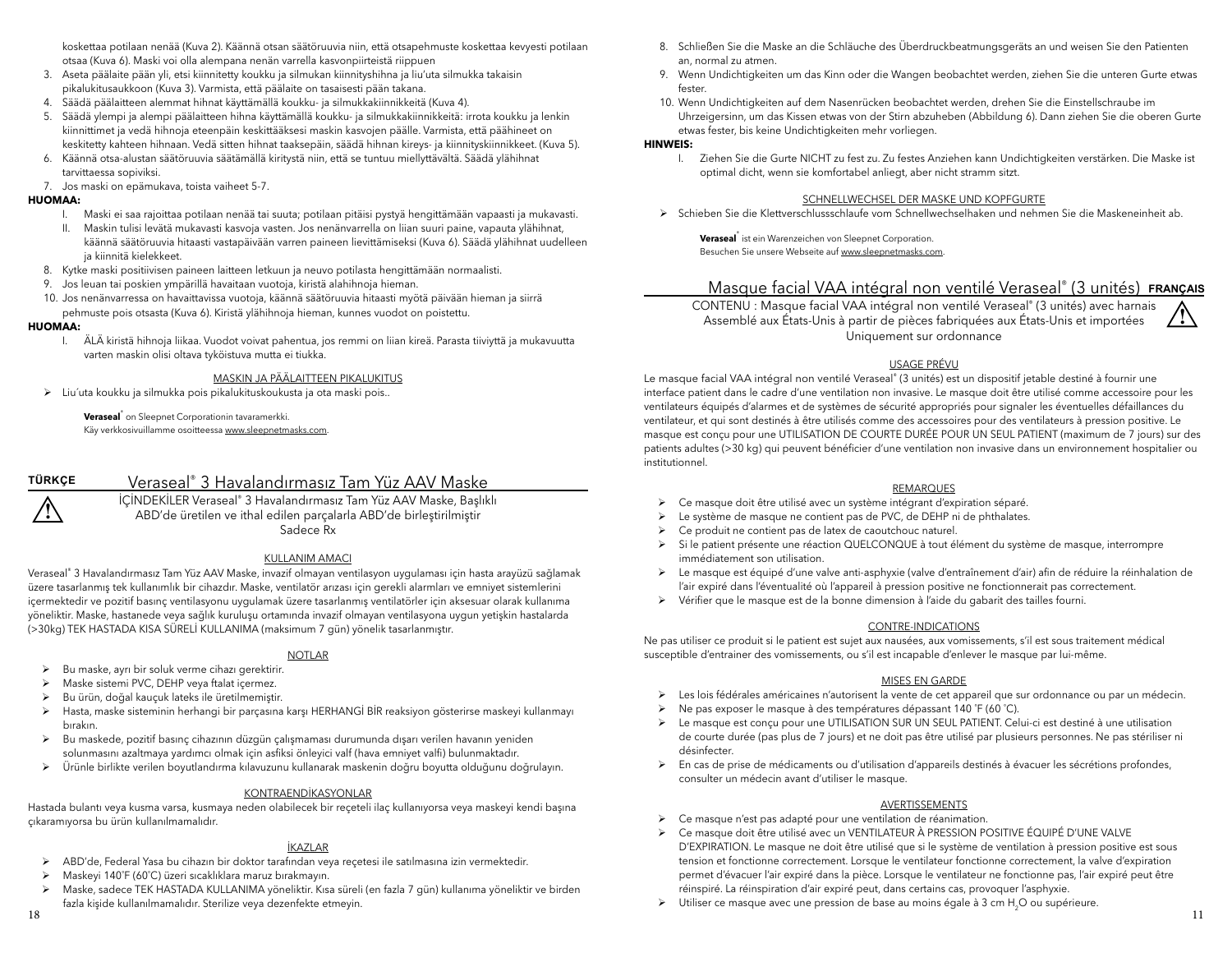koskettaa potilaan nenää (Kuva 2). Käännä otsan säätöruuvia niin, että otsapehmuste koskettaa kevyesti potilaan otsaa (Kuva 6). Maski voi olla alempana nenän varrella kasvonpiirteistä riippuen

- 3. Aseta päälaite pään yli, etsi kiinnitetty koukku ja silmukan kiinnityshihna ja liu'uta silmukka takaisin pikalukitusaukkoon (Kuva 3). Varmista, että päälaite on tasaisesti pään takana.
- 4. Säädä päälaitteen alemmat hihnat käyttämällä koukku- ja silmukkakiinnikkeitä (Kuva 4).
- 5. Säädä ylempi ja alempi päälaitteen hihna käyttämällä koukku- ja silmukkakiinnikkeitä: irrota koukku ja lenkin kiinnittimet ja vedä hihnoja eteenpäin keskittääksesi maskin kasvojen päälle. Varmista, että päähineet on keskitetty kahteen hihnaan. Vedä sitten hihnat taaksepäin, säädä hihnan kireys- ja kiinnityskiinnikkeet. (Kuva 5).
- 6. Käännä otsa-alustan säätöruuvia säätämällä kiritystä niin, että se tuntuu miellyttävältä. Säädä ylähihnat tarvittaessa sopiviksi.
- 7. Jos maski on epämukava, toista vaiheet 5-7.

#### **HUOMAA:**

- I. Maski ei saa rajoittaa potilaan nenää tai suuta; potilaan pitäisi pystyä hengittämään vapaasti ja mukavasti.
- II. Maskin tulisi levätä mukavasti kasvoja vasten. Jos nenänvarrella on liian suuri paine, vapauta ylähihnat, käännä säätöruuvia hitaasti vastapäivään varren paineen lievittämiseksi (Kuva 6). Säädä ylähihnat uudelleen ja kiinnitä kielekkeet.
- 8. Kytke maski positiivisen paineen laitteen letkuun ja neuvo potilasta hengittämään normaalisti.
- 9. Jos leuan tai poskien ympärillä havaitaan vuotoja, kiristä alahihnoja hieman.
- 10. Jos nenänvarressa on havaittavissa vuotoja, käännä säätöruuvia hitaasti myötä päivään hieman ja siirrä pehmuste pois otsasta (Kuva 6). Kiristä ylähihnoja hieman, kunnes vuodot on poistettu.

#### **HUOMAA:**

 I. ÄLÄ kiristä hihnoja liikaa. Vuodot voivat pahentua, jos remmi on liian kireä. Parasta tiiviyttä ja mukavuutta varten maskin olisi oltava tyköistuva mutta ei tiukka.

## MASKIN JA PÄÄLAITTEEN PIKALUKITUS

¾ Liu´uta koukku ja silmukka pois pikalukituskoukusta ja ota maski pois..

**Veraseal**® on Sleepnet Corporationin tavaramerkki. Käy verkkosivuillamme osoitteessa www.sleepnetmasks.com.

**TÜRKÇE**

**!**

# Veraseal® 3 Havalandırmasız Tam Yüz AAV Maske

İÇİNDEKİLER Veraseal® 3 Havalandırmasız Tam Yüz AAV Maske, Başlıklı ABD'de üretilen ve ithal edilen parçalarla ABD'de birleştirilmiştir Sadece Rx

#### KULLANIM AMACI

Veraseal® 3 Havalandırmasız Tam Yüz AAV Maske, invazif olmayan ventilasyon uygulaması için hasta arayüzü sağlamak üzere tasarlanmış tek kullanımlık bir cihazdır. Maske, ventilatör arızası için gerekli alarmları ve emniyet sistemlerini içermektedir ve pozitif basınç ventilasyonu uygulamak üzere tasarlanmış ventilatörler için aksesuar olarak kullanıma yöneliktir. Maske, hastanede veya sağlık kuruluşu ortamında invazif olmayan ventilasyona uygun yetişkin hastalarda (>30kg) TEK HASTADA KISA SÜRELİ KULLANIMA (maksimum 7 gün) yönelik tasarlanmıştır.

#### NOTLAR

- ¾ Bu maske, ayrı bir soluk verme cihazı gerektirir.
- ¾ Maske sistemi PVC, DEHP veya ftalat içermez.
- ¾ Bu ürün, doğal kauçuk lateks ile üretilmemiştir.
- <sup>¾</sup> Hasta, maske sisteminin herhangi bir parçasına karşı HERHANGİ BİR reaksiyon gösterirse maskeyi kullanmayı bırakın.
- ¾ Bu maskede, pozitif basınç cihazının düzgün çalışmaması durumunda dışarı verilen havanın yeniden solunmasını azaltmaya yardımcı olmak için asfiksi önleyici valf (hava emniyet valfi) bulunmaktadır.
- <sup>¾</sup> Ürünle birlikte verilen boyutlandırma kılavuzunu kullanarak maskenin doğru boyutta olduğunu doğrulayın.

## KONTRAENDİKASYONLAR

 Hastada bulantı veya kusma varsa, kusmaya neden olabilecek bir reçeteli ilaç kullanıyorsa veya maskeyi kendi başına çıkaramıyorsa bu ürün kullanılmamalıdır.

## İKAZLAR

- ¾ ABD'de, Federal Yasa bu cihazın bir doktor tarafından veya reçetesi ile satılmasına izin vermektedir.
- ¾ Maskeyi 140˚F (60˚C) üzeri sıcaklıklara maruz bırakmayın.
- ¾ Maske, sadece TEK HASTADA KULLANIMA yöneliktir. Kısa süreli (en fazla 7 gün) kullanıma yöneliktir ve birden fazla kişide kullanılmamalıdır. Sterilize veya dezenfekte etmeyin.
- 8. Schließen Sie die Maske an die Schläuche des Überdruckbeatmungsgeräts an und weisen Sie den Patienten an, normal zu atmen.
- 9. Wenn Undichtigkeiten um das Kinn oder die Wangen beobachtet werden, ziehen Sie die unteren Gurte etwas fester.
- 10. Wenn Undichtigkeiten auf dem Nasenrücken beobachtet werden, drehen Sie die Einstellschraube im Uhrzeigersinn, um das Kissen etwas von der Stirn abzuheben (Abbildung 6). Dann ziehen Sie die oberen Gurte etwas fester, bis keine Undichtigkeiten mehr vorliegen.

#### **HINWEIS:**

 I. Ziehen Sie die Gurte NICHT zu fest zu. Zu festes Anziehen kann Undichtigkeiten verstärken. Die Maske ist optimal dicht, wenn sie komfortabel anliegt, aber nicht stramm sitzt.

#### SCHNELLWECHSEL DER MASKE UND KOPFGURTE

¾ Schieben Sie die Klettverschlussschlaufe vom Schnellwechselhaken und nehmen Sie die Maskeneinheit ab.

**Veraseal**® ist ein Warenzeichen von Sleepnet Corporation. Besuchen Sie unsere Webseite auf www.sleepnetmasks.com.

## Masque facial VAA intégral non ventilé Veraseal® (3 unités) **FRANÇAIS**

CONTENU : Masque facial VAA intégral non ventilé Veraseal® (3 unités) avec harnais Assemblé aux États-Unis à partir de pièces fabriquées aux États-Unis et importées Uniquement sur ordonnance

## USAGE PRÉVU

 Le masque facial VAA intégral non ventilé Veraseal® (3 unités) est un dispositif jetable destiné à fournir une interface patient dans le cadre d'une ventilation non invasive. Le masque doit être utilisé comme accessoire pour les ventilateurs équipés d'alarmes et de systèmes de sécurité appropriés pour signaler les éventuelles défaillances du ventilateur, et qui sont destinés à être utilisés comme des accessoires pour des ventilateurs à pression positive. Le masque est conçu pour une UTILISATION DE COURTE DURÉE POUR UN SEUL PATIENT (maximum de 7 jours) sur des patients adultes (>30 kg) qui peuvent bénéficier d'une ventilation non invasive dans un environnement hospitalier ou institutionnel.

#### REMARQUES

- ¾ Ce masque doit être utilisé avec un système intégrant d'expiration séparé.
- Le système de masque ne contient pas de PVC, de DEHP ni de phthalates.
- ¾ Ce produit ne contient pas de latex de caoutchouc naturel.
- Si le patient présente une réaction QUELCONQUE à tout élément du système de masque, interrompre immédiatement son utilisation.
- Le masque est équipé d'une valve anti-asphyxie (valve d'entraînement d'air) afin de réduire la réinhalation de l'air expiré dans l'éventualité où l'appareil à pression positive ne fonctionnerait pas correctement.
- ¾ Vérifier que le masque est de la bonne dimension à l'aide du gabarit des tailles fourni.

#### CONTRE-INDICATIONS

Ne pas utiliser ce produit si le patient est sujet aux nausées, aux vomissements, s'il est sous traitement médical susceptible d'entrainer des vomissements, ou s'il est incapable d'enlever le masque par lui-même.

## MISES EN GARDE

- ¾ Les lois fédérales américaines n'autorisent la vente de cet appareil que sur ordonnance ou par un médecin.
- ¾ Ne pas exposer le masque à des températures dépassant 140 ˚F (60 ˚C).
- Le masque est conçu pour une UTILISATION SUR UN SEUL PATIENT. Celui-ci est destiné à une utilisation de courte durée (pas plus de 7 jours) et ne doit pas être utilisé par plusieurs personnes. Ne pas stériliser ni désinfecter.
- ¾ En cas de prise de médicaments ou d'utilisation d'appareils destinés à évacuer les sécrétions profondes, consulter un médecin avant d'utiliser le masque.

## AVERTISSEMENTS

- ¾ Ce masque n'est pas adapté pour une ventilation de réanimation.
- <sup>¾</sup> Ce masque doit être utilisé avec un VENTILATEUR À PRESSION POSITIVE ÉQUIPÉ D'UNE VALVE D'EXPIRATION. Le masque ne doit être utilisé que si le système de ventilation à pression positive est sous tension et fonctionne correctement. Lorsque le ventilateur fonctionne correctement, la valve d'expiration permet d'évacuer l'air expiré dans la pièce. Lorsque le ventilateur ne fonctionne pas, l'air expiré peut être réinspiré. La réinspiration d'air expiré peut, dans certains cas, provoquer l'asphyxie.
- <sup>¾</sup> Utiliser ce masque avec une pression de base au moins égale à 3 cm H2O ou supérieure.

**!**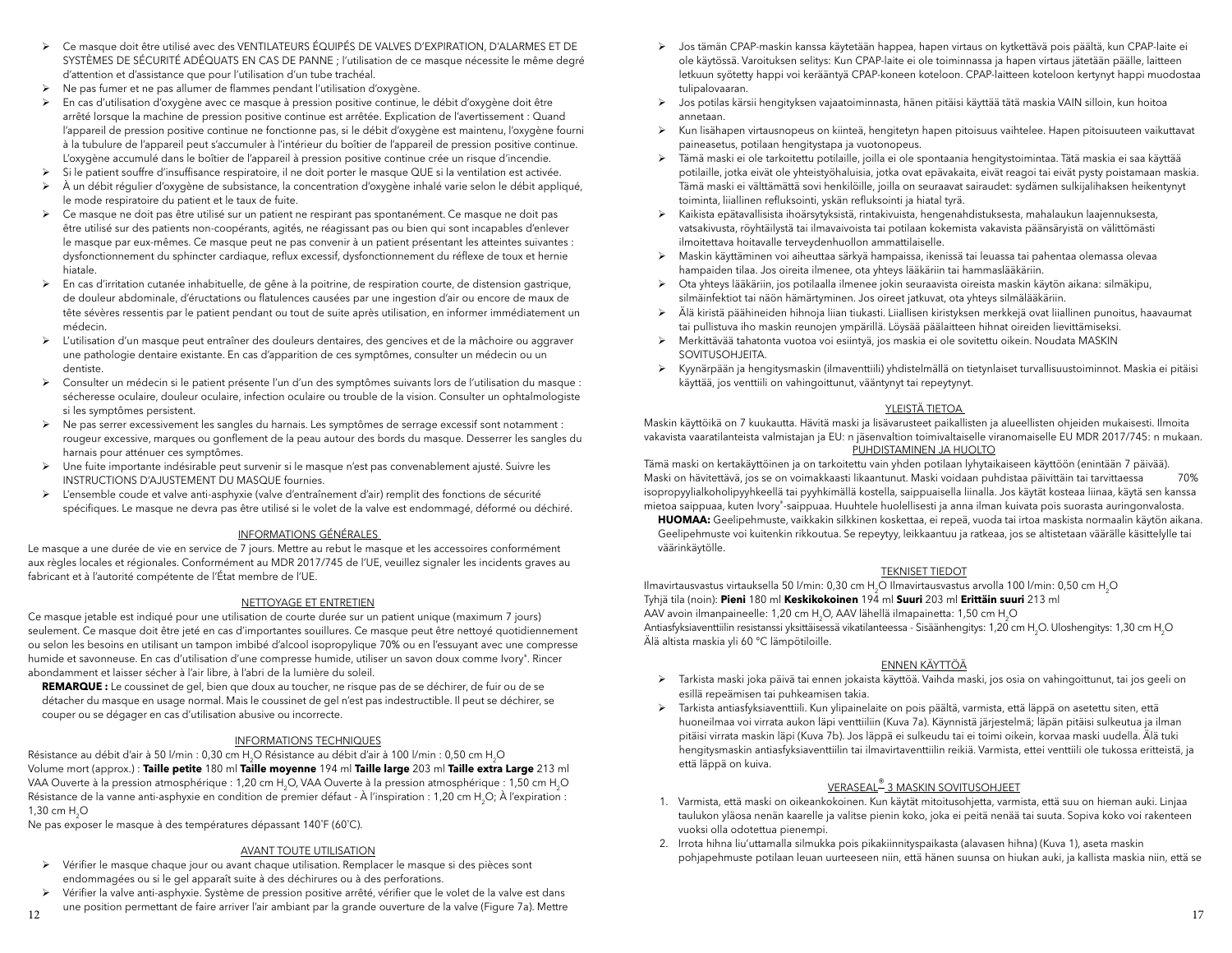- <sup>¾</sup> Ce masque doit être utilisé avec des VENTILATEURS ÉQUIPÉS DE VALVES D'EXPIRATION, D'ALARMES ET DE SYSTÈMES DE SÉCURITÉ ADÉQUATS EN CAS DE PANNE ; l'utilisation de ce masque nécessite le même degré d'attention et d'assistance que pour l'utilisation d'un tube trachéal.
- ¾ Ne pas fumer et ne pas allumer de flammes pendant l'utilisation d'oxygène.
- ¾ En cas d'utilisation d'oxygène avec ce masque à pression positive continue, le débit d'oxygène doit être arrêté lorsque la machine de pression positive continue est arrêtée. Explication de l'avertissement : Quand l'appareil de pression positive continue ne fonctionne pas, si le débit d'oxygène est maintenu, l'oxygène fourni à la tubulure de l'appareil peut s'accumuler à l'intérieur du boîtier de l'appareil de pression positive continue. L'oxygène accumulé dans le boîtier de l'appareil à pression positive continue crée un risque d'incendie.
- ¾ Si le patient souffre d'insuffisance respiratoire, il ne doit porter le masque QUE si la ventilation est activée.
- <sup>¾</sup> À un débit régulier d'oxygène de subsistance, la concentration d'oxygène inhalé varie selon le débit appliqué, le mode respiratoire du patient et le taux de fuite.
- ¾ Ce masque ne doit pas être utilisé sur un patient ne respirant pas spontanément. Ce masque ne doit pas être utilisé sur des patients non-coopérants, agités, ne réagissant pas ou bien qui sont incapables d'enlever le masque par eux-mêmes. Ce masque peut ne pas convenir à un patient présentant les atteintes suivantes : dysfonctionnement du sphincter cardiaque, reflux excessif, dysfonctionnement du réflexe de toux et hernie hiatale.
- ¾ En cas d'irritation cutanée inhabituelle, de gêne à la poitrine, de respiration courte, de distension gastrique, de douleur abdominale, d'éructations ou flatulences causées par une ingestion d'air ou encore de maux de tête sévères ressentis par le patient pendant ou tout de suite après utilisation, en informer immédiatement un médecin.
- ¾ L'utilisation d'un masque peut entraîner des douleurs dentaires, des gencives et de la mâchoire ou aggraver une pathologie dentaire existante. En cas d'apparition de ces symptômes, consulter un médecin ou un dentiste.
- ¾ Consulter un médecin si le patient présente l'un d'un des symptômes suivants lors de l'utilisation du masque : sécheresse oculaire, douleur oculaire, infection oculaire ou trouble de la vision. Consulter un ophtalmologiste si les symptômes persistent.
- ¾ Ne pas serrer excessivement les sangles du harnais. Les symptômes de serrage excessif sont notamment : rougeur excessive, marques ou gonflement de la peau autour des bords du masque. Desserrer les sangles du harnais pour atténuer ces symptômes.
- ¾ Une fuite importante indésirable peut survenir si le masque n'est pas convenablement ajusté. Suivre les INSTRUCTIONS D'AJUSTEMENT DU MASQUE fournies.
- ¾ L'ensemble coude et valve anti-asphyxie (valve d'entraînement d'air) remplit des fonctions de sécurité spécifiques. Le masque ne devra pas être utilisé si le volet de la valve est endommagé, déformé ou déchiré.

#### INFORMATIONS GÉNÉRALES

Le masque a une durée de vie en service de 7 jours. Mettre au rebut le masque et les accessoires conformément aux règles locales et régionales. Conformément au MDR 2017/745 de l'UE, veuillez signaler les incidents graves au fabricant et à l'autorité compétente de l'État membre de l'UE.

#### NETTOYAGE ET ENTRETIEN

 Ce masque jetable est indiqué pour une utilisation de courte durée sur un patient unique (maximum 7 jours) seulement. Ce masque doit être jeté en cas d'importantes souillures. Ce masque peut être nettoyé quotidiennement ou selon les besoins en utilisant un tampon imbibé d'alcool isopropylique 70% ou en l'essuyant avec une compresse humide et savonneuse. En cas d'utilisation d'une compresse humide, utiliser un savon doux comme Ivory®. Rincer abondamment et laisser sécher à l'air libre, à l'abri de la lumière du soleil.

**REMARQUE :** Le coussinet de gel, bien que doux au toucher, ne risque pas de se déchirer, de fuir ou de se détacher du masque en usage normal. Mais le coussinet de gel n'est pas indestructible. Il peut se déchirer, se couper ou se dégager en cas d'utilisation abusive ou incorrecte.

#### INFORMATIONS TECHNIQUES

Résistance au débit d'air à 50 l/min : 0,30 cm H<sub>2</sub>O Résistance au débit d'air à 100 l/min : 0,50 cm H<sub>2</sub>O Volume mort (approx.) : **Taille petite** 180 ml **Taille moyenne** 194 ml **Taille large** 203 ml **Taille extra Large** 213 ml VAA Ouverte à la pression atmosphérique : 1,20 cm H2O, VAA Ouverte à la pression atmosphérique : 1,50 cm H2O Résistance de la vanne anti-asphyxie en condition de premier défaut - À l'inspiration : 1,20 cm H<sub>2</sub>O; À l'expiration : 1,30 cm H<sub>2</sub>O

Ne pas exposer le masque à des températures dépassant 140˚F (60˚C).

#### AVANT TOUTE UTILISATION

- ¾ Vérifier le masque chaque jour ou avant chaque utilisation. Remplacer le masque si des pièces sont endommagées ou si le gel apparaît suite à des déchirures ou à des perforations.
- ¾ Vérifier la valve anti-asphyxie. Système de pression positive arrêté, vérifier que le volet de la valve est dans une position permettant de faire arriver l'air ambiant par la grande ouverture de la valve (Figure 7a). Mettre
- ¾ Jos tämän CPAP-maskin kanssa käytetään happea, hapen virtaus on kytkettävä pois päältä, kun CPAP-laite ei ole käytössä. Varoituksen selitys: Kun CPAP-laite ei ole toiminnassa ja hapen virtaus jätetään päälle, laitteen letkuun syötetty happi voi kerääntyä CPAP-koneen koteloon. CPAP-laitteen koteloon kertynyt happi muodostaa tulipalovaaran.
- ¾ Jos potilas kärsii hengityksen vajaatoiminnasta, hänen pitäisi käyttää tätä maskia VAIN silloin, kun hoitoa annetaan.
- ¾ Kun lisähapen virtausnopeus on kiinteä, hengitetyn hapen pitoisuus vaihtelee. Hapen pitoisuuteen vaikuttavat paineasetus, potilaan hengitystapa ja vuotonopeus.
- ¾ Tämä maski ei ole tarkoitettu potilaille, joilla ei ole spontaania hengitystoimintaa. Tätä maskia ei saa käyttää potilaille, jotka eivät ole yhteistyöhaluisia, jotka ovat epävakaita, eivät reagoi tai eivät pysty poistamaan maskia. Tämä maski ei välttämättä sovi henkilöille, joilla on seuraavat sairaudet: sydämen sulkijalihaksen heikentynyt toiminta, liiallinen refluksointi, yskän refluksointi ja hiatal tyrä.
- ¾ Kaikista epätavallisista ihoärsytyksistä, rintakivuista, hengenahdistuksesta, mahalaukun laajennuksesta, vatsakivusta, röyhtäilystä tai ilmavaivoista tai potilaan kokemista vakavista päänsäryistä on välittömästi ilmoitettava hoitavalle terveydenhuollon ammattilaiselle.
- ¾ Maskin käyttäminen voi aiheuttaa särkyä hampaissa, ikenissä tai leuassa tai pahentaa olemassa olevaa hampaiden tilaa. Jos oireita ilmenee, ota yhteys lääkäriin tai hammaslääkäriin.
- ¾ Ota yhteys lääkäriin, jos potilaalla ilmenee jokin seuraavista oireista maskin käytön aikana: silmäkipu, silmäinfektiot tai näön hämärtyminen. Jos oireet jatkuvat, ota yhteys silmälääkäriin.
- <sup>¾</sup> Älä kiristä päähineiden hihnoja liian tiukasti. Liiallisen kiristyksen merkkejä ovat liiallinen punoitus, haavaumat tai pullistuva iho maskin reunojen ympärillä. Löysää päälaitteen hihnat oireiden lievittämiseksi.
- ¾ Merkittävää tahatonta vuotoa voi esiintyä, jos maskia ei ole sovitettu oikein. Noudata MASKIN SOVITUSOHJEITA.
- ¾ Kyynärpään ja hengitysmaskin (ilmaventtiili) yhdistelmällä on tietynlaiset turvallisuustoiminnot. Maskia ei pitäisi käyttää, jos venttiili on vahingoittunut, vääntynyt tai repeytynyt.

#### YLEISTÄ TIETOA

Maskin käyttöikä on 7 kuukautta. Hävitä maski ja lisävarusteet paikallisten ja alueellisten ohjeiden mukaisesti. Ilmoita vakavista vaaratilanteista valmistajan ja EU: n jäsenvaltion toimivaltaiselle viranomaiselle EU MDR 2017/745: n mukaan. PUHDISTAMINEN JA HUOLTO

Tämä maski on kertakäyttöinen ja on tarkoitettu vain yhden potilaan lyhytaikaiseen käyttöön (enintään 7 päivää). Maski on hävitettävä, jos se on voimakkaasti likaantunut. Maski voidaan puhdistaa päivittäin tai tarvittaessa 70% isopropyylialkoholipyyhkeellä tai pyyhkimällä kostella, saippuaisella liinalla. Jos käytät kosteaa liinaa, käytä sen kanssa mietoa saippuaa, kuten Ivory®-saippuaa. Huuhtele huolellisesti ja anna ilman kuivata pois suorasta auringonvalosta.

**HUOMAA:** Geelipehmuste, vaikkakin silkkinen koskettaa, ei repeä, vuoda tai irtoa maskista normaalin käytön aikana. Geelipehmuste voi kuitenkin rikkoutua. Se repeytyy, leikkaantuu ja ratkeaa, jos se altistetaan väärälle käsittelylle tai väärinkäytölle.

#### TEKNISET TIEDOT

Ilmavirtausvastus virtauksella 50 l/min: 0,30 cm H2O Ilmavirtausvastus arvolla 100 l/min: 0,50 cm H2O Tyhjä tila (noin): **Pieni** 180 ml **Keskikokoinen** 194 ml **Suuri** 203 ml **Erittäin suuri** 213 ml AAV avoin ilmanpaineelle: 1,20 cm H2O, AAV lähellä ilmapainetta: 1,50 cm H2O

Antiasfyksiaventtiilin resistanssi yksittäisessä vikatilanteessa - Sisäänhengitys: 1,20 cm H<sub>2</sub>O. Uloshengitys: 1,30 cm H<sub>2</sub>O Älä altista maskia yli 60 °C lämpötiloille.

## ENNEN KÄYTTÖÄ

- ¾ Tarkista maski joka päivä tai ennen jokaista käyttöä. Vaihda maski, jos osia on vahingoittunut, tai jos geeli on esillä repeämisen tai puhkeamisen takia.
- ¾ Tarkista antiasfyksiaventtiili. Kun ylipainelaite on pois päältä, varmista, että läppä on asetettu siten, että huoneilmaa voi virrata aukon läpi venttiiliin (Kuva 7a). Käynnistä järjestelmä; läpän pitäisi sulkeutua ja ilman <sup>p</sup>itäisi virrata maskin läpi (Kuva 7b). Jos läppä ei sulkeudu tai ei toimi oikein, korvaa maski uudella. Älä tuki hengitysmaskin antiasfyksiaventtiilin tai ilmavirtaventtiilin reikiä. Varmista, ettei venttiili ole tukossa eritteistä, ja että läppä on kuiva.

## VERASEAL® 3 MASKIN SOVITUSOHJEET

- 1. Varmista, että maski on oikeankokoinen. Kun käytät mitoitusohjetta, varmista, että suu on hieman auki. Linjaa taulukon yläosa nenän kaarelle ja valitse pienin koko, joka ei peitä nenää tai suuta. Sopiva koko voi rakenteen vuoksi olla odotettua pienempi.
- 2. Irrota hihna liu'uttamalla silmukka pois pikakiinnityspaikasta (alavasen hihna) (Kuva 1), aseta maskin pohjapehmuste potilaan leuan uurteeseen niin, että hänen suunsa on hiukan auki, ja kallista maskia niin, että se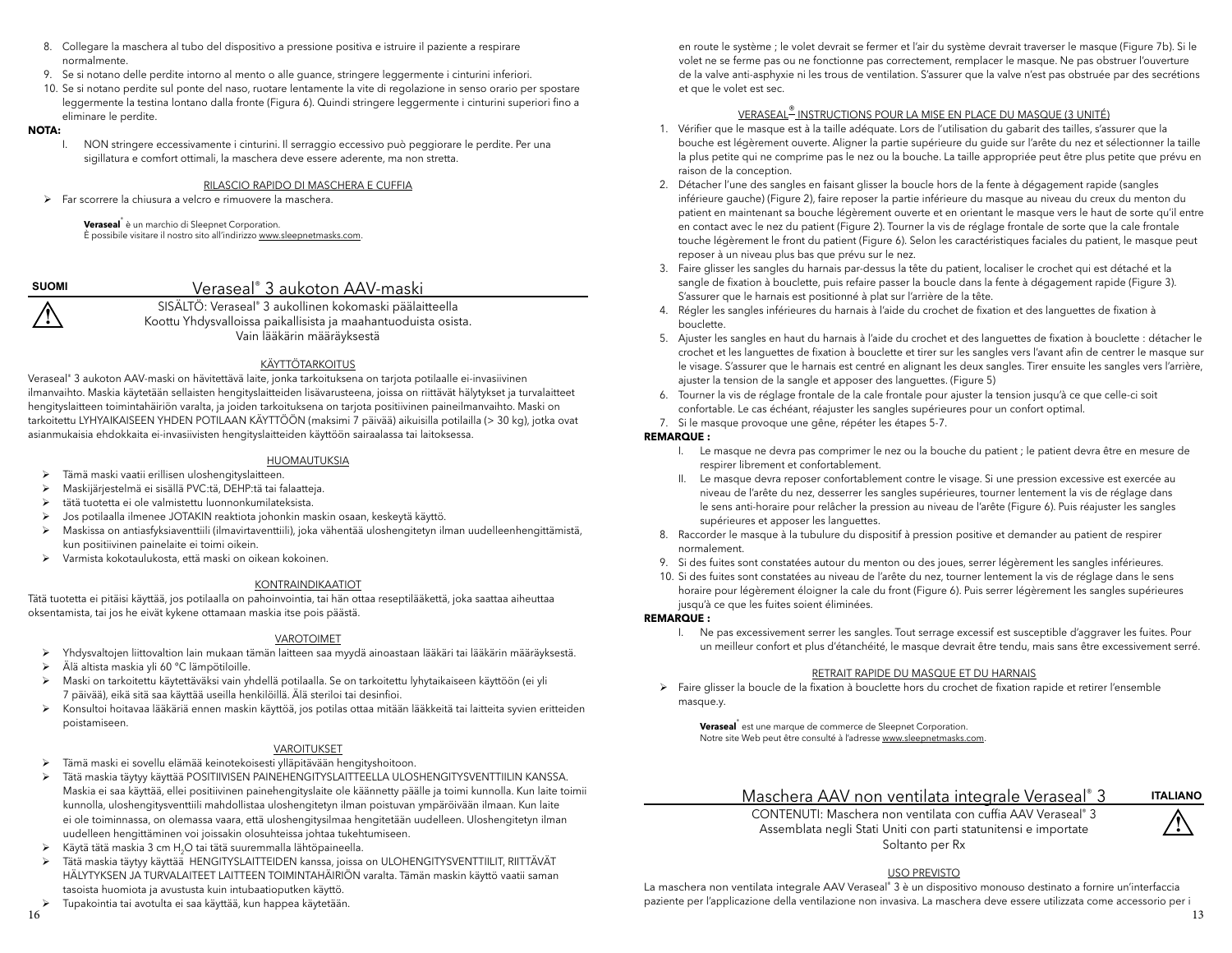- 8. Collegare la maschera al tubo del dispositivo a pressione positiva e istruire il paziente a respirare normalmente.
- 9. Se si notano delle perdite intorno al mento o alle guance, stringere leggermente i cinturini inferiori.
- 10. Se si notano perdite sul ponte del naso, ruotare lentamente la vite di regolazione in senso orario per spostare leggermente la testina lontano dalla fronte (Figura 6). Quindi stringere leggermente i cinturini superiori fino a eliminare le perdite.

#### **NOTA:**

 I. NON stringere eccessivamente i cinturini. Il serraggio eccessivo può peggiorare le perdite. Per una sigillatura e comfort ottimali, la maschera deve essere aderente, ma non stretta.

## RILASCIO RAPIDO DI MASCHERA E CUFFIA

¾ Far scorrere la chiusura a velcro e rimuovere la maschera.

**Veraseal**® è un marchio di Sleepnet Corporation. È possibile visitare il nostro sito all'indirizzo www.sleepnetmasks.com.

**! SUOMI**

## Veraseal® 3 aukoton AAV-maski

SISÄLTÖ: Veraseal® 3 aukollinen kokomaski päälaitteella Koottu Yhdysvalloissa paikallisista ja maahantuoduista osista. Vain lääkärin määräyksestä

#### KÄYTTÖTARKOITUS

Veraseal® 3 aukoton AAV-maski on hävitettävä laite, jonka tarkoituksena on tarjota potilaalle ei-invasiivinen ilmanvaihto. Maskia käytetään sellaisten hengityslaitteiden lisävarusteena, joissa on riittävät hälytykset ja turvalaitteet hengityslaitteen toimintahäiriön varalta, ja joiden tarkoituksena on tarjota positiivinen paineilmanvaihto. Maski on tarkoitettu LYHYAIKAISEEN YHDEN POTILAAN KÄYTTÖÖN (maksimi 7 päivää) aikuisilla potilailla (> 30 kg), jotka ovat asianmukaisia ehdokkaita ei-invasiivisten hengityslaitteiden käyttöön sairaalassa tai laitoksessa.

#### HUOMAUTUKSIA

- ¾ Tämä maski vaatii erillisen uloshengityslaitteen.
- ¾ Maskijärjestelmä ei sisällä PVC:tä, DEHP:tä tai falaatteja.
- $\blacktriangleright$   $\;$  tätä tuotetta ei ole valmistettu luonnonkumilateksista.
- ¾ Jos potilaalla ilmenee JOTAKIN reaktiota johonkin maskin osaan, keskeytä käyttö.
- ¾ Maskissa on antiasfyksiaventtiili (ilmavirtaventtiili), joka vähentää uloshengitetyn ilman uudelleenhengittämistä, kun positiivinen painelaite ei toimi oikein.
- ¾ Varmista kokotaulukosta, että maski on oikean kokoinen.

#### KONTRAINDIKAATIOT

Tätä tuotetta ei pitäisi käyttää, jos potilaalla on pahoinvointia, tai hän ottaa reseptilääkettä, joka saattaa aiheuttaa oksentamista, tai jos he eivät kykene ottamaan maskia itse pois päästä.

### VAROTOIMET

- ¾ Yhdysvaltojen liittovaltion lain mukaan tämän laitteen saa myydä ainoastaan lääkäri tai lääkärin määräyksestä.
- <sup>¾</sup> Älä altista maskia yli 60 °C lämpötiloille.
- ¾ Maski on tarkoitettu käytettäväksi vain yhdellä potilaalla. Se on tarkoitettu lyhytaikaiseen käyttöön (ei yli 7 päivää), eikä sitä saa käyttää useilla henkilöillä. Älä steriloi tai desinfioi.
- ¾ Konsultoi hoitavaa lääkäriä ennen maskin käyttöä, jos potilas ottaa mitään lääkkeitä tai laitteita syvien eritteiden poistamiseen.

#### VAROITUKSET

- ¾ Tämä maski ei sovellu elämää keinotekoisesti ylläpitävään hengityshoitoon.
- ¾ Tätä maskia täytyy käyttää POSITIIVISEN PAINEHENGITYSLAITTEELLA ULOSHENGITYSVENTTIILIN KANSSA. Maskia ei saa käyttää, ellei positiivinen painehengityslaite ole käännetty päälle ja toimi kunnolla. Kun laite toimii kunnolla, uloshengitysventtiili mahdollistaa uloshengitetyn ilman poistuvan ympäröivään ilmaan. Kun laite ei ole toiminnassa, on olemassa vaara, että uloshengitysilmaa hengitetään uudelleen. Uloshengitetyn ilman uudelleen hengittäminen voi joissakin olosuhteissa johtaa tukehtumiseen.
- $\triangleright$  Käytä tätä maskia 3 cm H<sub>2</sub>O tai tätä suuremmalla lähtöpaineella.<br>
► Tätä maskia täytyy käyttää HENGITYSLAITTEIDEN kanssa, joissa
- <sup>¾</sup> Tätä maskia täytyy käyttää HENGITYSLAITTEIDEN kanssa, joissa on ULOHENGITYSVENTTIILIT, RIITTÄVÄT HÄLYTYKSEN JA TURVALAITEET LAITTEEN TOIMINTAHÄIRIÖN varalta. Tämän maskin käyttö vaatii saman tasoista huomiota ja avustusta kuin intubaatioputken käyttö.
- ¾ Tupakointia tai avotulta ei saa käyttää, kun happea käytetään.

en route le système ; le volet devrait se fermer et l'air du système devrait traverser le masque (Figure 7b). Si le volet ne se ferme pas ou ne fonctionne pas correctement, remplacer le masque. Ne pas obstruer l'ouverture de la valve anti-asphyxie ni les trous de ventilation. S'assurer que la valve n'est pas obstruée par des secrétions et que le volet est sec.

## VERASEAL® INSTRUCTIONS POUR LA MISE EN PLACE DU MASQUE (3 UNITÉ)

- 1. Vérifier que le masque est à la taille adéquate. Lors de l'utilisation du gabarit des tailles, s'assurer que la bouche est légèrement ouverte. Aligner la partie supérieure du guide sur l'arête du nez et sélectionner la taille la plus petite qui ne comprime pas le nez ou la bouche. La taille appropriée peut être plus petite que prévu en raison de la conception.
- 2. Détacher l'une des sangles en faisant glisser la boucle hors de la fente à dégagement rapide (sangles inférieure gauche) (Figure 2), faire reposer la partie inférieure du masque au niveau du creux du menton du patient en maintenant sa bouche légèrement ouverte et en orientant le masque vers le haut de sorte qu'il entre en contact avec le nez du patient (Figure 2). Tourner la vis de réglage frontale de sorte que la cale frontale touche légèrement le front du patient (Figure 6). Selon les caractéristiques faciales du patient, le masque peut reposer à un niveau plus bas que prévu sur le nez.
- 3. Faire glisser les sangles du harnais par-dessus la tête du patient, localiser le crochet qui est détaché et la sangle de fixation à bouclette, puis refaire passer la boucle dans la fente à dégagement rapide (Figure 3). S'assurer que le harnais est positionné à plat sur l'arrière de la tête.
- 4. Régler les sangles inférieures du harnais à l'aide du crochet de fixation et des languettes de fixation à bouclette.
- 5. Ajuster les sangles en haut du harnais à l'aide du crochet et des languettes de fixation à bouclette : détacher le crochet et les languettes de fixation à bouclette et tirer sur les sangles vers l'avant afin de centrer le masque sur le visage. S'assurer que le harnais est centré en alignant les deux sangles. Tirer ensuite les sangles vers l'arrière, ajuster la tension de la sangle et apposer des languettes. (Figure 5)
- 6. Tourner la vis de réglage frontale de la cale frontale pour ajuster la tension jusqu'à ce que celle-ci soit confortable. Le cas échéant, réajuster les sangles supérieures pour un confort optimal.
- 7. Si le masque provoque une gêne, répéter les étapes 5-7.

#### **REMARQUE :**

- I. Le masque ne devra pas comprimer le nez ou la bouche du patient ; le patient devra être en mesure de respirer librement et confortablement.
- II. Le masque devra reposer confortablement contre le visage. Si une pression excessive est exercée au niveau de l'arête du nez, desserrer les sangles supérieures, tourner lentement la vis de réglage dans le sens anti-horaire pour relâcher la pression au niveau de l'arête (Figure 6). Puis réajuster les sangles supérieures et apposer les languettes.
- 8. Raccorder le masque à la tubulure du dispositif à pression positive et demander au patient de respirer normalement.
- 9. Si des fuites sont constatées autour du menton ou des joues, serrer légèrement les sangles inférieures.
- 10. Si des fuites sont constatées au niveau de l'arête du nez, tourner lentement la vis de réglage dans le sens horaire pour légèrement éloigner la cale du front (Figure 6). Puis serrer légèrement les sangles supérieures jusqu'à ce que les fuites soient éliminées.

#### **REMARQUE :**

 I. Ne pas excessivement serrer les sangles. Tout serrage excessif est susceptible d'aggraver les fuites. Pour un meilleur confort et plus d'étanchéité, le masque devrait être tendu, mais sans être excessivement serré.

#### RETRAIT RAPIDE DU MASQUE ET DU HARNAIS

¾ Faire glisser la boucle de la fixation à bouclette hors du crochet de fixation rapide et retirer l'ensemble masque.y.

**Veraseal**® est une marque de commerce de Sleepnet Corporation. Notre site Web peut être consulté à l'adresse www.sleepnetmasks.com.

# Maschera AAV non ventilata integrale Veraseal® 3

CONTENUTI: Maschera non ventilata con cuffia AAV Veraseal® 3 Assemblata negli Stati Uniti con parti statunitensi e importate Soltanto per Rx



#### USO PREVISTO

La maschera non ventilata integrale AAV Veraseal® 3 è un dispositivo monouso destinato a fornire un'interfaccia paziente per l'applicazione della ventilazione non invasiva. La maschera deve essere utilizzata come accessorio per i